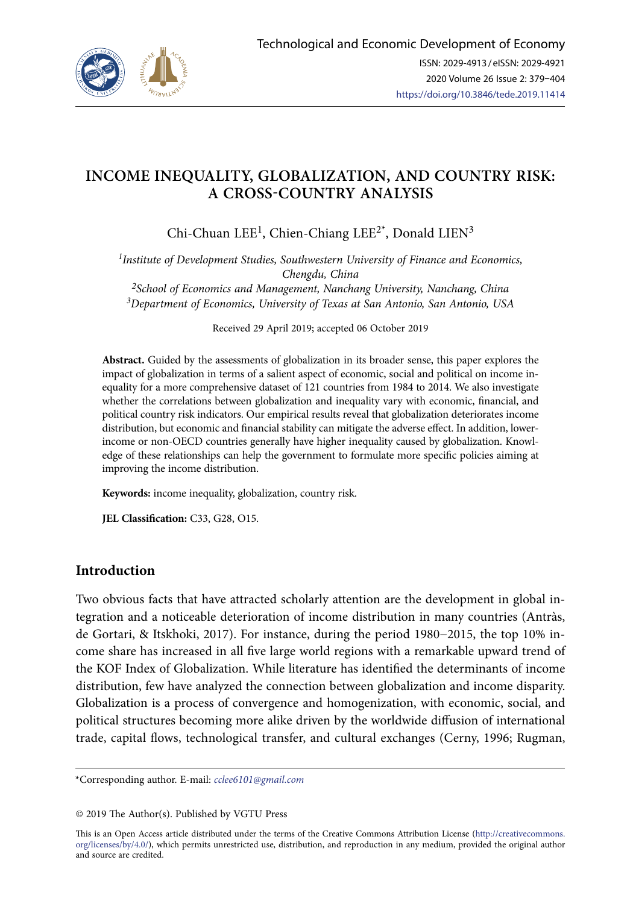

# **INCOME INEQUALITY, GLOBALIZATION, AND COUNTRY RISK: A CROSS-COUNTRY ANALYSIS**

Chi-Chuan LEE<sup>1</sup>, Chien-Chiang LEE<sup>2\*</sup>, Donald LIEN<sup>3</sup>

*1Institute of Development Studies, Southwestern University of Finance and Economics, Chengdu, China 2School of Economics and Management, Nanchang University, Nanchang, China 3Department of Economics, University of Texas at San Antonio, San Antonio, USA*

Received 29 April 2019; accepted 06 October 2019

**Abstract.** Guided by the assessments of globalization in its broader sense, this paper explores the impact of globalization in terms of a salient aspect of economic, social and political on income inequality for a more comprehensive dataset of 121 countries from 1984 to 2014. We also investigate whether the correlations between globalization and inequality vary with economic, financial, and political country risk indicators. Our empirical results reveal that globalization deteriorates income distribution, but economic and financial stability can mitigate the adverse effect. In addition, lowerincome or non-OECD countries generally have higher inequality caused by globalization. Knowledge of these relationships can help the government to formulate more specific policies aiming at improving the income distribution.

**Keywords:** income inequality, globalization, country risk.

**JEL Classification:** C33, G28, O15.

# **Introduction**

Two obvious facts that have attracted scholarly attention are the development in global integration and a noticeable deterioration of income distribution in many countries (Antràs, de Gortari, & Itskhoki, 2017). For instance, during the period 1980−2015, the top 10% income share has increased in all five large world regions with a remarkable upward trend of the KOF Index of Globalization. While literature has identified the determinants of income distribution, few have analyzed the connection between globalization and income disparity. Globalization is a process of convergence and homogenization, with economic, social, and political structures becoming more alike driven by the worldwide diffusion of international trade, capital flows, technological transfer, and cultural exchanges (Cerny, 1996; Rugman,

\*Corresponding author. E-mail: *cclee6101@gmail.com*

© 2019 The Author(s). Published by VGTU Press

This is an Open Access article distributed under the terms of the Creative Commons Attribution License ([http://creativecommons.](http://dx.doi.org/10.1016/S0377-2217(03)00091-2) [org/licenses/by/4.0/\)](http://dx.doi.org/10.1016/S0377-2217(03)00091-2), which permits unrestricted use, distribution, and reproduction in any medium, provided the original author and source are credited.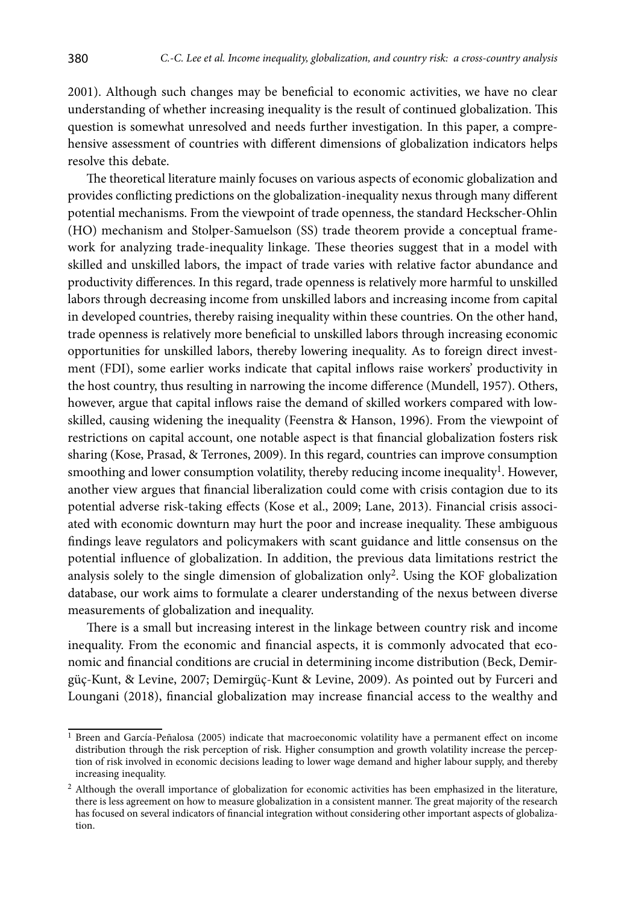2001). Although such changes may be beneficial to economic activities, we have no clear understanding of whether increasing inequality is the result of continued globalization. This question is somewhat unresolved and needs further investigation. In this paper, a comprehensive assessment of countries with different dimensions of globalization indicators helps resolve this debate.

The theoretical literature mainly focuses on various aspects of economic globalization and provides conflicting predictions on the globalization-inequality nexus through many different potential mechanisms. From the viewpoint of trade openness, the standard Heckscher-Ohlin (HO) mechanism and Stolper-Samuelson (SS) trade theorem provide a conceptual framework for analyzing trade-inequality linkage. These theories suggest that in a model with skilled and unskilled labors, the impact of trade varies with relative factor abundance and productivity differences. In this regard, trade openness is relatively more harmful to unskilled labors through decreasing income from unskilled labors and increasing income from capital in developed countries, thereby raising inequality within these countries. On the other hand, trade openness is relatively more beneficial to unskilled labors through increasing economic opportunities for unskilled labors, thereby lowering inequality. As to foreign direct investment (FDI), some earlier works indicate that capital inflows raise workers' productivity in the host country, thus resulting in narrowing the income difference (Mundell, 1957). Others, however, argue that capital inflows raise the demand of skilled workers compared with lowskilled, causing widening the inequality (Feenstra & Hanson, 1996). From the viewpoint of restrictions on capital account, one notable aspect is that financial globalization fosters risk sharing (Kose, Prasad, & Terrones, 2009). In this regard, countries can improve consumption smoothing and lower consumption volatility, thereby reducing income inequality<sup>1</sup>. However, another view argues that financial liberalization could come with crisis contagion due to its potential adverse risk-taking effects (Kose et al., 2009; Lane, 2013). Financial crisis associated with economic downturn may hurt the poor and increase inequality. These ambiguous findings leave regulators and policymakers with scant guidance and little consensus on the potential influence of globalization. In addition, the previous data limitations restrict the analysis solely to the single dimension of globalization only<sup>2</sup>. Using the KOF globalization database, our work aims to formulate a clearer understanding of the nexus between diverse measurements of globalization and inequality.

There is a small but increasing interest in the linkage between country risk and income inequality. From the economic and financial aspects, it is commonly advocated that economic and financial conditions are crucial in determining income distribution (Beck, Demirgüç-Kunt, & Levine, 2007; Demirgüç-Kunt & Levine, 2009). As pointed out by Furceri and Loungani (2018), financial globalization may increase financial access to the wealthy and

 $1$  Breen and García-Peñalosa (2005) indicate that macroeconomic volatility have a permanent effect on income distribution through the risk perception of risk. Higher consumption and growth volatility increase the perception of risk involved in economic decisions leading to lower wage demand and higher labour supply, and thereby increasing inequality.

 $2$  Although the overall importance of globalization for economic activities has been emphasized in the literature, there is less agreement on how to measure globalization in a consistent manner. The great majority of the research has focused on several indicators of financial integration without considering other important aspects of globalization.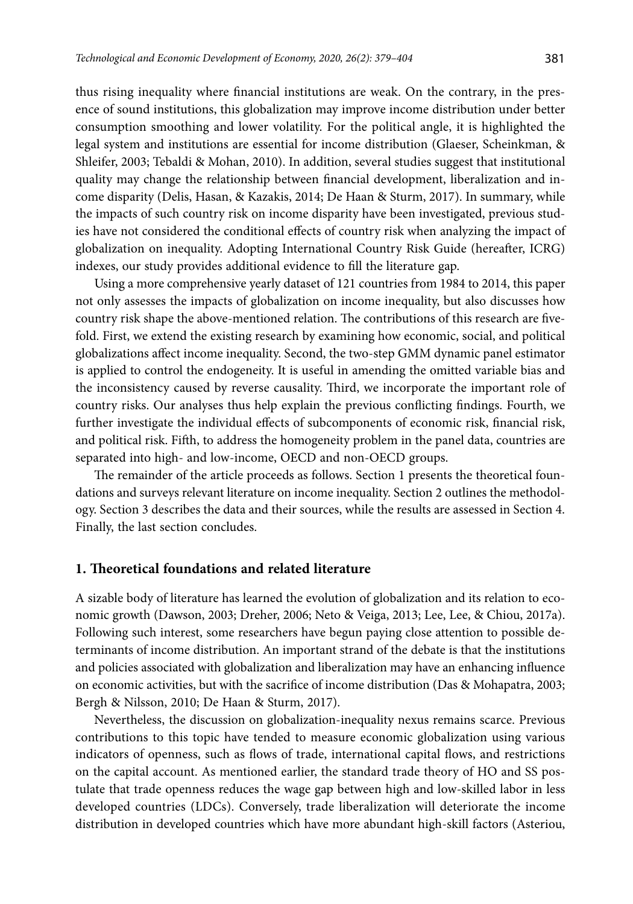thus rising inequality where financial institutions are weak. On the contrary, in the presence of sound institutions, this globalization may improve income distribution under better consumption smoothing and lower volatility. For the political angle, it is highlighted the legal system and institutions are essential for income distribution (Glaeser, Scheinkman, & Shleifer, 2003; Tebaldi & Mohan, 2010). In addition, several studies suggest that institutional quality may change the relationship between financial development, liberalization and income disparity (Delis, Hasan, & Kazakis, 2014; De Haan & Sturm, 2017). In summary, while the impacts of such country risk on income disparity have been investigated, previous studies have not considered the conditional effects of country risk when analyzing the impact of globalization on inequality. Adopting International Country Risk Guide (hereafter, ICRG) indexes, our study provides additional evidence to fill the literature gap.

Using a more comprehensive yearly dataset of 121 countries from 1984 to 2014, this paper not only assesses the impacts of globalization on income inequality, but also discusses how country risk shape the above-mentioned relation. The contributions of this research are fivefold. First, we extend the existing research by examining how economic, social, and political globalizations affect income inequality. Second, the two-step GMM dynamic panel estimator is applied to control the endogeneity. It is useful in amending the omitted variable bias and the inconsistency caused by reverse causality. Third, we incorporate the important role of country risks. Our analyses thus help explain the previous conflicting findings. Fourth, we further investigate the individual effects of subcomponents of economic risk, financial risk, and political risk. Fifth, to address the homogeneity problem in the panel data, countries are separated into high- and low-income, OECD and non-OECD groups.

The remainder of the article proceeds as follows. Section 1 presents the theoretical foundations and surveys relevant literature on income inequality. Section 2 outlines the methodology. Section 3 describes the data and their sources, while the results are assessed in Section 4. Finally, the last section concludes.

## **1. Theoretical foundations and related literature**

A sizable body of literature has learned the evolution of globalization and its relation to economic growth (Dawson, 2003; Dreher, 2006; Neto & Veiga, 2013; Lee, Lee, & Chiou, 2017a). Following such interest, some researchers have begun paying close attention to possible determinants of income distribution. An important strand of the debate is that the institutions and policies associated with globalization and liberalization may have an enhancing influence on economic activities, but with the sacrifice of income distribution (Das & Mohapatra, 2003; Bergh & Nilsson, 2010; De Haan & Sturm, 2017).

Nevertheless, the discussion on globalization-inequality nexus remains scarce. Previous contributions to this topic have tended to measure economic globalization using various indicators of openness, such as flows of trade, international capital flows, and restrictions on the capital account. As mentioned earlier, the standard trade theory of HO and SS postulate that trade openness reduces the wage gap between high and low-skilled labor in less developed countries (LDCs). Conversely, trade liberalization will deteriorate the income distribution in developed countries which have more abundant high-skill factors (Asteriou,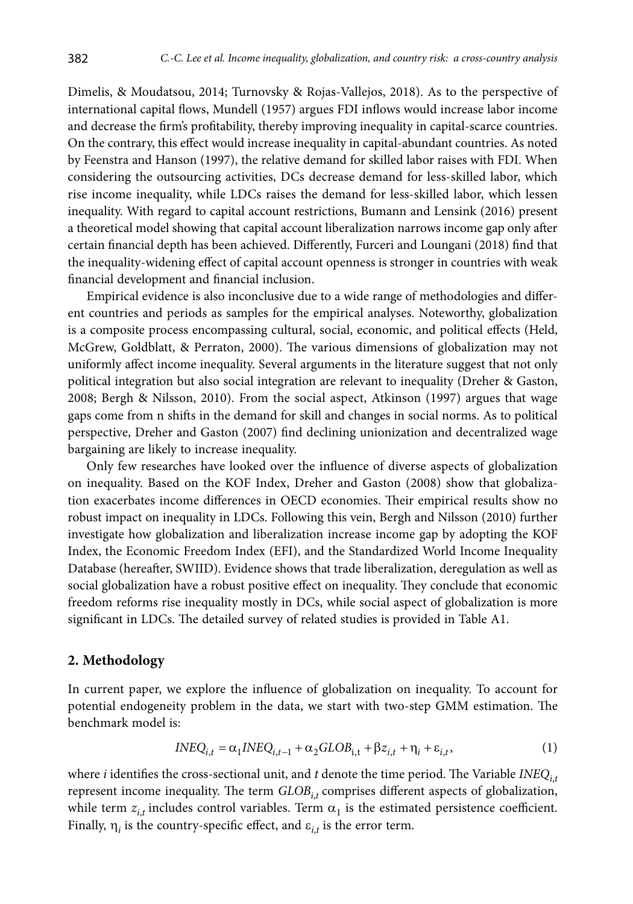Dimelis, & Moudatsou, 2014; Turnovsky & Rojas-Vallejos, 2018). As to the perspective of international capital flows, Mundell (1957) argues FDI inflows would increase labor income and decrease the firm's profitability, thereby improving inequality in capital-scarce countries. On the contrary, this effect would increase inequality in capital-abundant countries. As noted by Feenstra and Hanson (1997), the relative demand for skilled labor raises with FDI. When considering the outsourcing activities, DCs decrease demand for less-skilled labor, which rise income inequality, while LDCs raises the demand for less-skilled labor, which lessen inequality. With regard to capital account restrictions, Bumann and Lensink (2016) present a theoretical model showing that capital account liberalization narrows income gap only after certain financial depth has been achieved. Differently, Furceri and Loungani (2018) find that the inequality-widening effect of capital account openness is stronger in countries with weak financial development and financial inclusion.

Empirical evidence is also inconclusive due to a wide range of methodologies and different countries and periods as samples for the empirical analyses. Noteworthy, globalization is a composite process encompassing cultural, social, economic, and political effects (Held, McGrew, Goldblatt, & Perraton, 2000). The various dimensions of globalization may not uniformly affect income inequality. Several arguments in the literature suggest that not only political integration but also social integration are relevant to inequality (Dreher & Gaston, 2008; Bergh & Nilsson, 2010). From the social aspect, Atkinson (1997) argues that wage gaps come from n shifts in the demand for skill and changes in social norms. As to political perspective, Dreher and Gaston (2007) find declining unionization and decentralized wage bargaining are likely to increase inequality.

Only few researches have looked over the influence of diverse aspects of globalization on inequality. Based on the KOF Index, Dreher and Gaston (2008) show that globalization exacerbates income differences in OECD economies. Their empirical results show no robust impact on inequality in LDCs. Following this vein, Bergh and Nilsson (2010) further investigate how globalization and liberalization increase income gap by adopting the KOF Index, the Economic Freedom Index (EFI), and the Standardized World Income Inequality Database (hereafter, SWIID). Evidence shows that trade liberalization, deregulation as well as social globalization have a robust positive effect on inequality. They conclude that economic freedom reforms rise inequality mostly in DCs, while social aspect of globalization is more significant in LDCs. The detailed survey of related studies is provided in Table A1.

#### **2. Methodology**

In current paper, we explore the influence of globalization on inequality. To account for potential endogeneity problem in the data, we start with two-step GMM estimation. The benchmark model is:

$$
INEQ_{i,t} = \alpha_1 INEQ_{i,t-1} + \alpha_2 GLOB_{i,t} + \beta z_{i,t} + \eta_i + \varepsilon_{i,t},
$$
\n<sup>(1)</sup>

where *i* identifies the cross-sectional unit, and *t* denote the time period. The Variable  $INEQ$ <sub>*tt*</sub> represent income inequality. The term  $GLOB<sub>i,t</sub>$  comprises different aspects of globalization, while term  $z_{i,t}$  includes control variables. Term  $\alpha_1$  is the estimated persistence coefficient. Finally,  $\eta_i$  is the country-specific effect, and  $\varepsilon_{i,t}$  is the error term.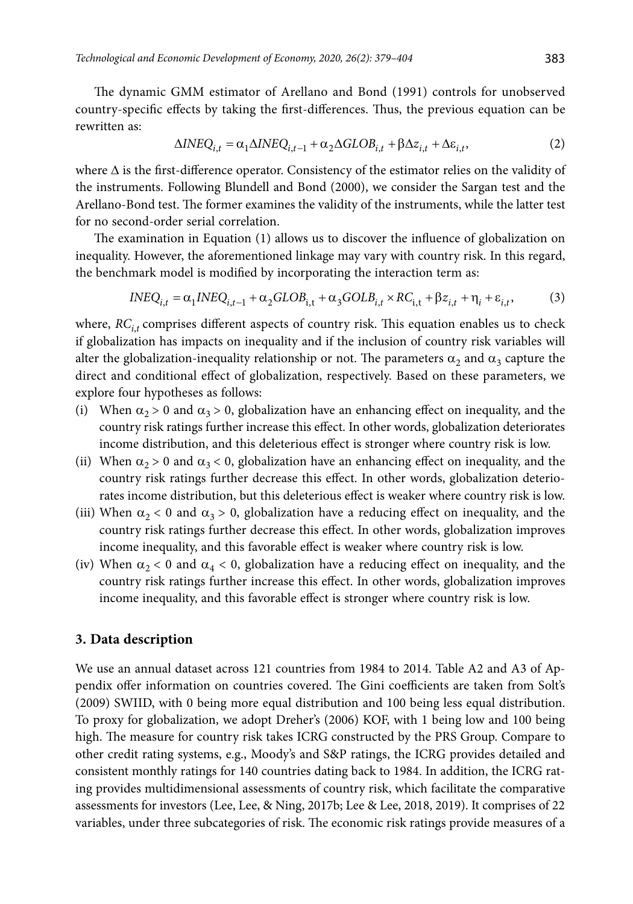The dynamic GMM estimator of Arellano and Bond (1991) controls for unobserved country-specific effects by taking the first-differences. Thus, the previous equation can be rewritten as:

$$
\Delta INEQ_{i,t} = \alpha_1 \Delta INEQ_{i,t-1} + \alpha_2 \Delta GLOB_{i,t} + \beta \Delta z_{i,t} + \Delta \varepsilon_{i,t},\tag{2}
$$

where  $\Delta$  is the first-difference operator. Consistency of the estimator relies on the validity of the instruments. Following Blundell and Bond (2000), we consider the Sargan test and the Arellano-Bond test. The former examines the validity of the instruments, while the latter test for no second-order serial correlation.

The examination in Equation (1) allows us to discover the influence of globalization on inequality. However, the aforementioned linkage may vary with country risk. In this regard, the benchmark model is modified by incorporating the interaction term as:

$$
INEQ_{i,t} = \alpha_1 INEQ_{i,t-1} + \alpha_2 GLOB_{i,t} + \alpha_3 GOLB_{i,t} \times RC_{i,t} + \beta z_{i,t} + \eta_i + \varepsilon_{i,t},
$$
 (3)

where,  $RC_{i,t}$  comprises different aspects of country risk. This equation enables us to check if globalization has impacts on inequality and if the inclusion of country risk variables will alter the globalization-inequality relationship or not. The parameters  $\alpha_2$  and  $\alpha_3$  capture the direct and conditional effect of globalization, respectively. Based on these parameters, we explore four hypotheses as follows:

- (i) When  $\alpha_2 > 0$  and  $\alpha_3 > 0$ , globalization have an enhancing effect on inequality, and the country risk ratings further increase this effect. In other words, globalization deteriorates income distribution, and this deleterious effect is stronger where country risk is low.
- (ii) When  $\alpha_2 > 0$  and  $\alpha_3 < 0$ , globalization have an enhancing effect on inequality, and the country risk ratings further decrease this effect. In other words, globalization deteriorates income distribution, but this deleterious effect is weaker where country risk is low.
- (iii) When  $\alpha_2$  < 0 and  $\alpha_3$  > 0, globalization have a reducing effect on inequality, and the country risk ratings further decrease this effect. In other words, globalization improves income inequality, and this favorable effect is weaker where country risk is low.
- (iv) When  $\alpha_2 < 0$  and  $\alpha_4 < 0$ , globalization have a reducing effect on inequality, and the country risk ratings further increase this effect. In other words, globalization improves income inequality, and this favorable effect is stronger where country risk is low.

## **3. Data description**

We use an annual dataset across 121 countries from 1984 to 2014. Table A2 and A3 of Appendix offer information on countries covered. The Gini coefficients are taken from Solt's (2009) SWIID, with 0 being more equal distribution and 100 being less equal distribution. To proxy for globalization, we adopt Dreher's (2006) KOF, with 1 being low and 100 being high. The measure for country risk takes ICRG constructed by the PRS Group. Compare to other credit rating systems, e.g., Moody's and S&P ratings, the ICRG provides detailed and consistent monthly ratings for 140 countries dating back to 1984. In addition, the ICRG rating provides multidimensional assessments of country risk, which facilitate the comparative assessments for investors (Lee, Lee, & Ning, 2017b; Lee & Lee, 2018, 2019). It comprises of 22 variables, under three subcategories of risk. The economic risk ratings provide measures of a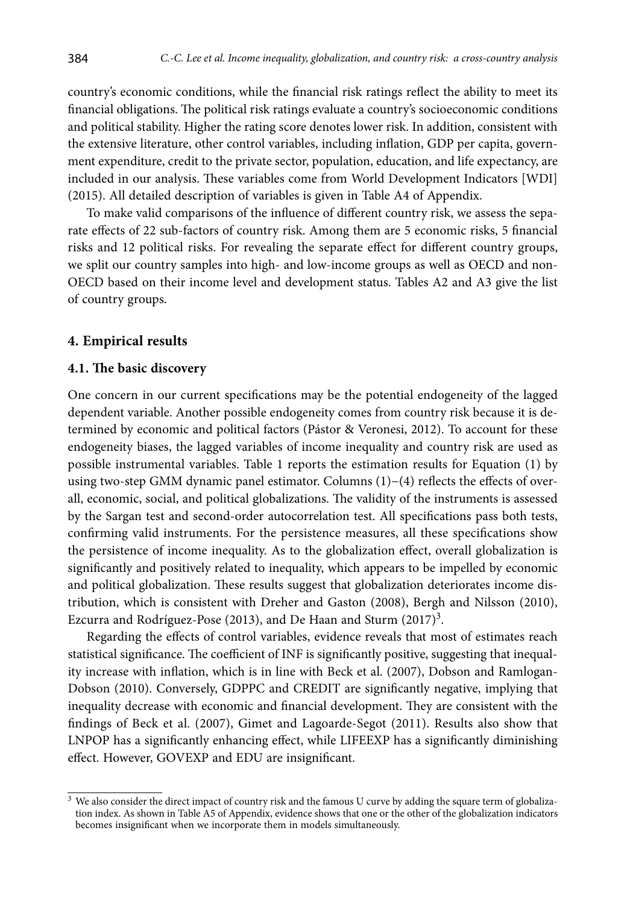country's economic conditions, while the financial risk ratings reflect the ability to meet its financial obligations. The political risk ratings evaluate a country's socioeconomic conditions and political stability. Higher the rating score denotes lower risk. In addition, consistent with the extensive literature, other control variables, including inflation, GDP per capita, government expenditure, credit to the private sector, population, education, and life expectancy, are included in our analysis. These variables come from World Development Indicators [WDI] (2015). All detailed description of variables is given in Table A4 of Appendix.

To make valid comparisons of the influence of different country risk, we assess the separate effects of 22 sub-factors of country risk. Among them are 5 economic risks, 5 financial risks and 12 political risks. For revealing the separate effect for different country groups, we split our country samples into high- and low-income groups as well as OECD and non-OECD based on their income level and development status. Tables A2 and A3 give the list of country groups.

## **4. Empirical results**

#### **4.1. The basic discovery**

One concern in our current specifications may be the potential endogeneity of the lagged dependent variable. Another possible endogeneity comes from country risk because it is determined by economic and political factors (Pástor & Veronesi, 2012). To account for these endogeneity biases, the lagged variables of income inequality and country risk are used as possible instrumental variables. Table 1 reports the estimation results for Equation (1) by using two-step GMM dynamic panel estimator. Columns (1)−(4) reflects the effects of overall, economic, social, and political globalizations. The validity of the instruments is assessed by the Sargan test and second-order autocorrelation test. All specifications pass both tests, confirming valid instruments. For the persistence measures, all these specifications show the persistence of income inequality. As to the globalization effect, overall globalization is significantly and positively related to inequality, which appears to be impelled by economic and political globalization. These results suggest that globalization deteriorates income distribution, which is consistent with Dreher and Gaston (2008), Bergh and Nilsson (2010), Ezcurra and Rodríguez-Pose (2013), and De Haan and Sturm  $(2017)^3$ .

Regarding the effects of control variables, evidence reveals that most of estimates reach statistical significance. The coefficient of INF is significantly positive, suggesting that inequality increase with inflation, which is in line with Beck et al. (2007), Dobson and Ramlogan-Dobson (2010). Conversely, GDPPC and CREDIT are significantly negative, implying that inequality decrease with economic and financial development. They are consistent with the findings of Beck et al. (2007), Gimet and Lagoarde-Segot (2011). Results also show that LNPOP has a significantly enhancing effect, while LIFEEXP has a significantly diminishing effect. However, GOVEXP and EDU are insignificant.

 $3$  We also consider the direct impact of country risk and the famous U curve by adding the square term of globalization index. As shown in Table A5 of Appendix, evidence shows that one or the other of the globalization indicators becomes insignificant when we incorporate them in models simultaneously.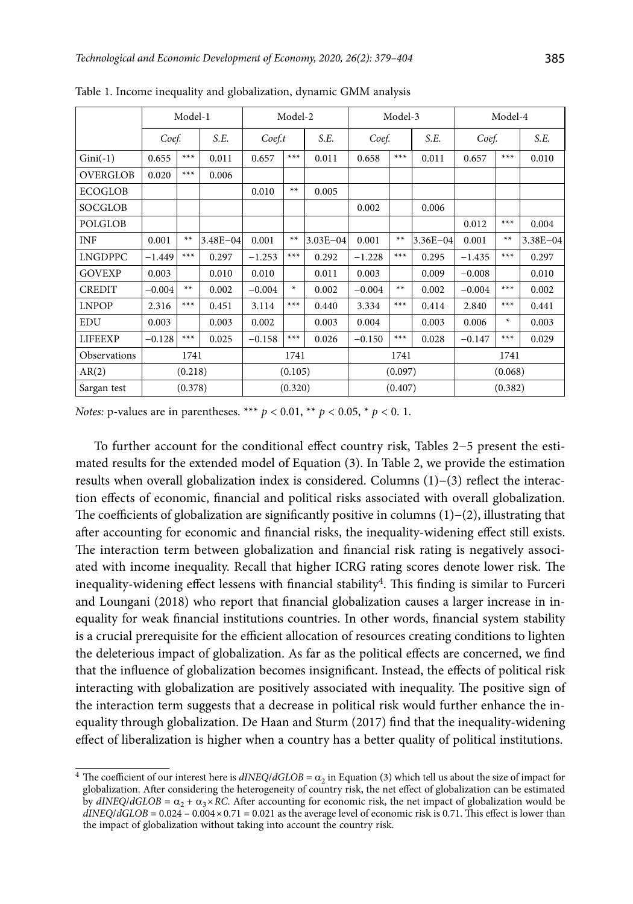|                 |          | Model-1 |              |                | Model-2 |              | Model-3  |         |              | Model-4  |         |              |
|-----------------|----------|---------|--------------|----------------|---------|--------------|----------|---------|--------------|----------|---------|--------------|
|                 | Coef.    |         | S.E.         | Coef.t         |         | S.E.         | Coef.    |         | S.E.         | Coef.    |         | S.E.         |
| $Gini(-1)$      | 0.655    | $***$   | 0.011        | $***$<br>0.657 |         | 0.011        | 0.658    | $***$   | 0.011        | 0.657    | $***$   | 0.010        |
| <b>OVERGLOB</b> | 0.020    | $***$   | 0.006        |                |         |              |          |         |              |          |         |              |
| <b>ECOGLOB</b>  |          |         |              | 0.010          | $**$    | 0.005        |          |         |              |          |         |              |
| <b>SOCGLOB</b>  |          |         |              |                |         |              | 0.002    |         | 0.006        |          |         |              |
| <b>POLGLOB</b>  |          |         |              |                |         |              |          |         |              | 0.012    | $***$   | 0.004        |
| INF             | 0.001    | $**$    | $3.48E - 04$ | 0.001          | $**$    | $3.03E - 04$ | 0.001    | $**$    | $3.36E - 04$ | 0.001    | $**$    | $3.38E - 04$ |
| <b>LNGDPPC</b>  | $-1.449$ | $***$   | 0.297        | $-1.253$       | $***$   | 0.292        | $-1.228$ | $***$   | 0.295        | $-1.435$ | $***$   | 0.297        |
| <b>GOVEXP</b>   | 0.003    |         | 0.010        | 0.010          |         | 0.011        | 0.003    |         | 0.009        | $-0.008$ |         | 0.010        |
| <b>CREDIT</b>   | $-0.004$ | $**$    | 0.002        | $-0.004$       | $\ast$  | 0.002        | $-0.004$ | $**$    | 0.002        | $-0.004$ | $***$   | 0.002        |
| <b>LNPOP</b>    | 2.316    | $***$   | 0.451        | 3.114          | $***$   | 0.440        | 3.334    | $***$   | 0.414        | 2.840    | $***$   | 0.441        |
| <b>EDU</b>      | 0.003    |         | 0.003        | 0.002          |         | 0.003        | 0.004    |         | 0.003        | 0.006    | $\ast$  | 0.003        |
| <b>LIFEEXP</b>  | $-0.128$ | $***$   | 0.025        | $-0.158$       | $***$   | 0.026        | $-0.150$ | $***$   | 0.028        | $-0.147$ | $***$   | 0.029        |
| Observations    |          | 1741    |              |                | 1741    |              |          | 1741    |              |          | 1741    |              |
| AR(2)           |          | (0.218) |              |                | (0.105) |              |          | (0.097) |              |          | (0.068) |              |
| Sargan test     |          | (0.378) |              |                | (0.320) |              |          | (0.407) |              |          | (0.382) |              |

Table 1. Income inequality and globalization, dynamic GMM analysis

To further account for the conditional effect country risk, Tables 2−5 present the estimated results for the extended model of Equation (3). In Table 2, we provide the estimation results when overall globalization index is considered. Columns (1)−(3) reflect the interaction effects of economic, financial and political risks associated with overall globalization. The coefficients of globalization are significantly positive in columns (1)−(2), illustrating that after accounting for economic and financial risks, the inequality-widening effect still exists. The interaction term between globalization and financial risk rating is negatively associated with income inequality. Recall that higher ICRG rating scores denote lower risk. The inequality-widening effect lessens with financial stability<sup>4</sup>. This finding is similar to Furceri and Loungani (2018) who report that financial globalization causes a larger increase in inequality for weak financial institutions countries. In other words, financial system stability is a crucial prerequisite for the efficient allocation of resources creating conditions to lighten the deleterious impact of globalization. As far as the political effects are concerned, we find that the influence of globalization becomes insignificant. Instead, the effects of political risk interacting with globalization are positively associated with inequality. The positive sign of the interaction term suggests that a decrease in political risk would further enhance the inequality through globalization. De Haan and Sturm (2017) find that the inequality-widening effect of liberalization is higher when a country has a better quality of political institutions.

<sup>&</sup>lt;sup>4</sup> The coefficient of our interest here is  $dINEQ/dGLOB = \alpha_2$  in Equation (3) which tell us about the size of impact for globalization. After considering the heterogeneity of country risk, the net effect of globalization can be estimated by  $dINEQ/dGLOB = \alpha_2 + \alpha_3 \times RC$ . After accounting for economic risk, the net impact of globalization would be  $dNEC/dGLOB = 0.024 - 0.004 \times 0.71 = 0.021$  as the average level of economic risk is 0.71. This effect is lower than the impact of globalization without taking into account the country risk.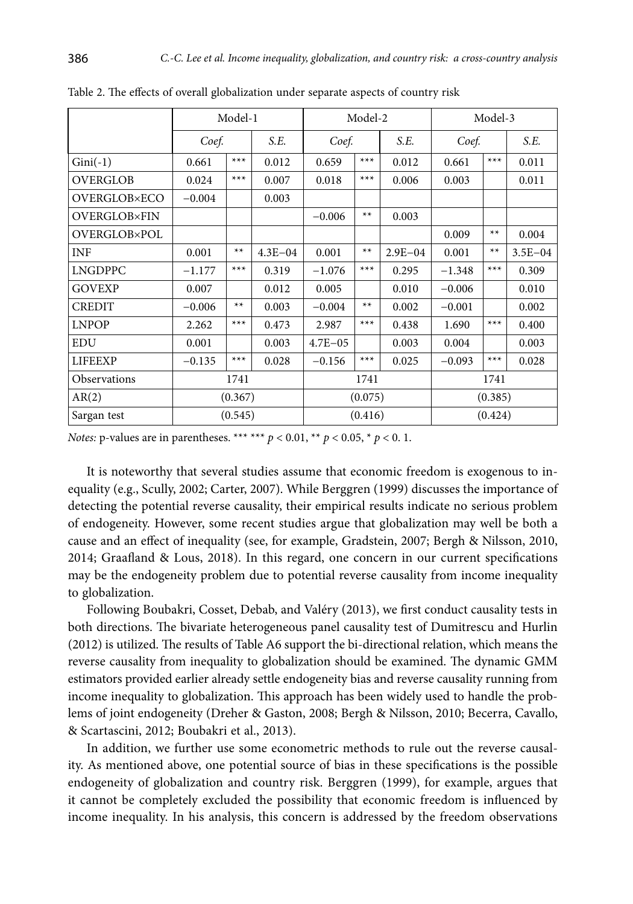|                     |          | Model-1 |             |             | Model-2 |             | Model-3        |         |             |
|---------------------|----------|---------|-------------|-------------|---------|-------------|----------------|---------|-------------|
|                     | Coef.    |         | S.E.        | Coef.       |         | S.E.        | Coef.          |         | S.E.        |
| $Gini(-1)$          | 0.661    | $***$   | 0.012       | 0.659       | $***$   | 0.012       | $***$<br>0.661 |         | 0.011       |
| <b>OVERGLOB</b>     | 0.024    | $***$   | 0.007       | 0.018       | $***$   | 0.006       | 0.003          |         | 0.011       |
| <b>OVERGLOB×ECO</b> | $-0.004$ |         | 0.003       |             |         |             |                |         |             |
| <b>OVERGLOB×FIN</b> |          |         |             | $-0.006$    | $**$    | 0.003       |                |         |             |
| <b>OVERGLOB×POL</b> |          |         |             |             |         |             | 0.009          | $**$    | 0.004       |
| <b>INF</b>          | 0.001    | $**$    | $4.3E - 04$ | 0.001       | $**$    | $2.9E - 04$ | 0.001          | $**$    | $3.5E - 04$ |
| <b>LNGDPPC</b>      | $-1.177$ | $***$   | 0.319       | $-1.076$    | $***$   | 0.295       | $-1.348$       | $***$   | 0.309       |
| <b>GOVEXP</b>       | 0.007    |         | 0.012       | 0.005       |         | 0.010       | $-0.006$       |         | 0.010       |
| <b>CREDIT</b>       | $-0.006$ | $**$    | 0.003       | $-0.004$    | $**$    | 0.002       | $-0.001$       |         | 0.002       |
| <b>LNPOP</b>        | 2.262    | $***$   | 0.473       | 2.987       | $***$   | 0.438       | 1.690          | $***$   | 0.400       |
| <b>EDU</b>          | 0.001    |         | 0.003       | $4.7E - 05$ |         | 0.003       | 0.004          |         | 0.003       |
| <b>LIFEEXP</b>      | $-0.135$ | $***$   | 0.028       | $-0.156$    | $***$   | 0.025       | $-0.093$       | $***$   | 0.028       |
| Observations        |          | 1741    |             |             | 1741    |             | 1741           |         |             |
| AR(2)               |          | (0.367) |             |             | (0.075) |             |                | (0.385) |             |
| Sargan test         |          | (0.545) |             | (0.416)     |         |             | (0.424)        |         |             |

Table 2. The effects of overall globalization under separate aspects of country risk

It is noteworthy that several studies assume that economic freedom is exogenous to inequality (e.g., Scully, 2002; Carter, 2007). While Berggren (1999) discusses the importance of detecting the potential reverse causality, their empirical results indicate no serious problem of endogeneity. However, some recent studies argue that globalization may well be both a cause and an effect of inequality (see, for example, Gradstein, 2007; Bergh & Nilsson, 2010, 2014; Graafland & Lous, 2018). In this regard, one concern in our current specifications may be the endogeneity problem due to potential reverse causality from income inequality to globalization.

Following Boubakri, Cosset, Debab, and Valéry (2013), we first conduct causality tests in both directions. The bivariate heterogeneous panel causality test of Dumitrescu and Hurlin (2012) is utilized. The results of Table A6 support the bi-directional relation, which means the reverse causality from inequality to globalization should be examined. The dynamic GMM estimators provided earlier already settle endogeneity bias and reverse causality running from income inequality to globalization. This approach has been widely used to handle the problems of joint endogeneity (Dreher & Gaston, 2008; Bergh & Nilsson, 2010; Becerra, Cavallo, & Scartascini, 2012; Boubakri et al., 2013).

In addition, we further use some econometric methods to rule out the reverse causality. As mentioned above, one potential source of bias in these specifications is the possible endogeneity of globalization and country risk. Berggren (1999), for example, argues that it cannot be completely excluded the possibility that economic freedom is influenced by income inequality. In his analysis, this concern is addressed by the freedom observations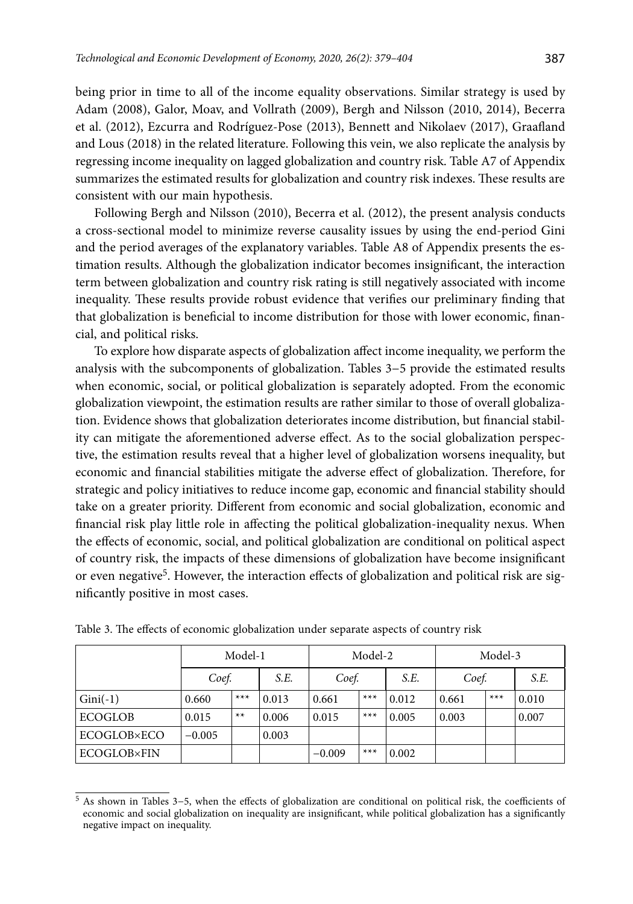being prior in time to all of the income equality observations. Similar strategy is used by Adam (2008), Galor, Moav, and Vollrath (2009), Bergh and Nilsson (2010, 2014), Becerra et al. (2012), Ezcurra and Rodríguez-Pose (2013), Bennett and Nikolaev (2017), Graafland and Lous (2018) in the related literature. Following this vein, we also replicate the analysis by regressing income inequality on lagged globalization and country risk. Table A7 of Appendix summarizes the estimated results for globalization and country risk indexes. These results are consistent with our main hypothesis.

Following Bergh and Nilsson (2010), Becerra et al. (2012), the present analysis conducts a cross-sectional model to minimize reverse causality issues by using the end-period Gini and the period averages of the explanatory variables. Table A8 of Appendix presents the estimation results. Although the globalization indicator becomes insignificant, the interaction term between globalization and country risk rating is still negatively associated with income inequality. These results provide robust evidence that verifies our preliminary finding that that globalization is beneficial to income distribution for those with lower economic, financial, and political risks.

To explore how disparate aspects of globalization affect income inequality, we perform the analysis with the subcomponents of globalization. Tables 3−5 provide the estimated results when economic, social, or political globalization is separately adopted. From the economic globalization viewpoint, the estimation results are rather similar to those of overall globalization. Evidence shows that globalization deteriorates income distribution, but financial stability can mitigate the aforementioned adverse effect. As to the social globalization perspective, the estimation results reveal that a higher level of globalization worsens inequality, but economic and financial stabilities mitigate the adverse effect of globalization. Therefore, for strategic and policy initiatives to reduce income gap, economic and financial stability should take on a greater priority. Different from economic and social globalization, economic and financial risk play little role in affecting the political globalization-inequality nexus. When the effects of economic, social, and political globalization are conditional on political aspect of country risk, the impacts of these dimensions of globalization have become insignificant or even negative5. However, the interaction effects of globalization and political risk are significantly positive in most cases.

|                    |          | Model-1 |       |          | Model-2 |       |       | Model-3 |       |
|--------------------|----------|---------|-------|----------|---------|-------|-------|---------|-------|
|                    | Coef.    |         | S.E.  | Coef.    |         | S.E.  | Coef. |         | S.E.  |
| $Gini(-1)$         | 0.660    | $***$   | 0.013 | 0.661    | $***$   | 0.012 | 0.661 | $***$   | 0.010 |
| <b>ECOGLOB</b>     | 0.015    | $**$    | 0.006 | 0.015    | $***$   | 0.005 | 0.003 |         | 0.007 |
| <b>ECOGLOB×ECO</b> | $-0.005$ |         | 0.003 |          |         |       |       |         |       |
| <b>ECOGLOB×FIN</b> |          |         |       | $-0.009$ | $***$   | 0.002 |       |         |       |

Table 3. The effects of economic globalization under separate aspects of country risk

<sup>5</sup> As shown in Tables 3−5, when the effects of globalization are conditional on political risk, the coefficients of economic and social globalization on inequality are insignificant, while political globalization has a significantly negative impact on inequality.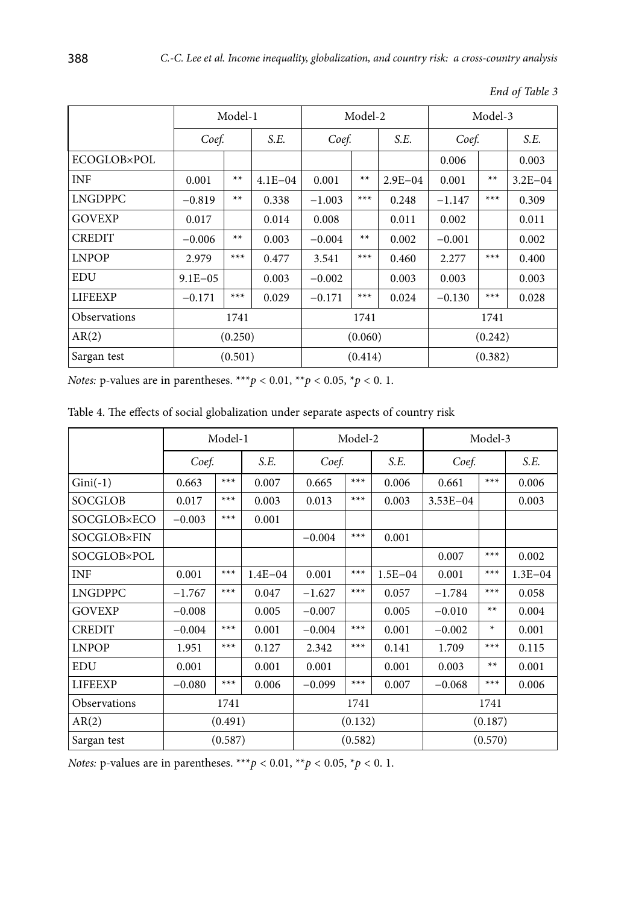|                     |             | Model-1 |             |          | Model-2 |             |          | Model-3 |             |
|---------------------|-------------|---------|-------------|----------|---------|-------------|----------|---------|-------------|
|                     | Coef.       |         | S.E.        | Coef.    |         | S.E.        | Coef.    |         | S.E.        |
| <b>ECOGLOB×POL</b>  |             |         |             |          |         |             | 0.006    |         | 0.003       |
| <b>INF</b>          | 0.001       | $**$    | $4.1E - 04$ | 0.001    | $**$    | $2.9E - 04$ | 0.001    | $**$    | $3.2E - 04$ |
| <b>LNGDPPC</b>      | $-0.819$    | $**$    | 0.338       | $-1.003$ | $***$   | 0.248       | $-1.147$ | $***$   | 0.309       |
| <b>GOVEXP</b>       | 0.017       |         | 0.014       | 0.008    |         | 0.011       | 0.002    |         | 0.011       |
| <b>CREDIT</b>       | $-0.006$    | $**$    | 0.003       | $-0.004$ | $**$    | 0.002       | $-0.001$ |         | 0.002       |
| <b>LNPOP</b>        | 2.979       | $***$   | 0.477       | 3.541    | $***$   | 0.460       | 2.277    | $***$   | 0.400       |
| <b>EDU</b>          | $9.1E - 05$ |         | 0.003       | $-0.002$ |         | 0.003       | 0.003    |         | 0.003       |
| <b>LIFEEXP</b>      | $-0.171$    | $***$   | 0.029       | $-0.171$ | $***$   | 0.024       | $-0.130$ | $***$   | 0.028       |
| <b>Observations</b> |             | 1741    |             |          | 1741    |             |          | 1741    |             |
| AR(2)               |             | (0.250) |             |          | (0.060) |             |          | (0.242) |             |
| Sargan test         |             | (0.501) |             |          | (0.414) |             |          | (0.382) |             |

*End of Table 3*

*Notes:* p-values are in parentheses. \*\*\**p* < 0.01, \*\**p* < 0.05, \**p* < 0.1.

|                |          | Model-1 |             |          | Model-2 |             | Model-3      |        |             |  |
|----------------|----------|---------|-------------|----------|---------|-------------|--------------|--------|-------------|--|
|                | Coef.    |         | S.E.        | Coef.    |         | S.E.        | Coef.        |        | S.E.        |  |
| $Gini(-1)$     | 0.663    | $***$   | 0.007       | 0.665    | $***$   | 0.006       | 0.661        | $***$  | 0.006       |  |
| SOCGLOB        | 0.017    | $***$   | 0.003       | 0.013    | $***$   | 0.003       | $3.53E - 04$ |        | 0.003       |  |
| SOCGLOB×ECO    | $-0.003$ | $***$   | 0.001       |          |         |             |              |        |             |  |
| SOCGLOB×FIN    |          |         |             | $-0.004$ | $***$   | 0.001       |              |        |             |  |
| SOCGLOB×POL    |          |         |             |          |         |             | 0.007        | $***$  | 0.002       |  |
| <b>INF</b>     | 0.001    | $***$   | $1.4E - 04$ | 0.001    | $***$   | $1.5E - 04$ | 0.001        | $***$  | $1.3E - 04$ |  |
| <b>LNGDPPC</b> | $-1.767$ | $***$   | 0.047       | $-1.627$ | $***$   | 0.057       | $-1.784$     | $***$  | 0.058       |  |
| <b>GOVEXP</b>  | $-0.008$ |         | 0.005       | $-0.007$ |         | 0.005       | $-0.010$     | $**$   | 0.004       |  |
| <b>CREDIT</b>  | $-0.004$ | $***$   | 0.001       | $-0.004$ | $***$   | 0.001       | $-0.002$     | $\ast$ | 0.001       |  |
| <b>LNPOP</b>   | 1.951    | $***$   | 0.127       | 2.342    | $***$   | 0.141       | 1.709        | $***$  | 0.115       |  |
| <b>EDU</b>     | 0.001    |         | 0.001       | 0.001    |         | 0.001       | 0.003        | $**$   | 0.001       |  |
| <b>LIFEEXP</b> | $-0.080$ | $***$   | 0.006       | $-0.099$ | $***$   | 0.007       | $-0.068$     | $***$  | 0.006       |  |
| Observations   |          | 1741    |             |          | 1741    |             | 1741         |        |             |  |
| AR(2)          | (0.491)  |         |             |          | (0.132) |             | (0.187)      |        |             |  |
| Sargan test    | (0.587)  |         |             |          | (0.582) |             | (0.570)      |        |             |  |

| Table 4. The effects of social globalization under separate aspects of country risk |  |
|-------------------------------------------------------------------------------------|--|
|-------------------------------------------------------------------------------------|--|

*Notes:* p-values are in parentheses. \*\*\* $p < 0.01$ , \*\* $p < 0.05$ , \* $p < 0$ . 1.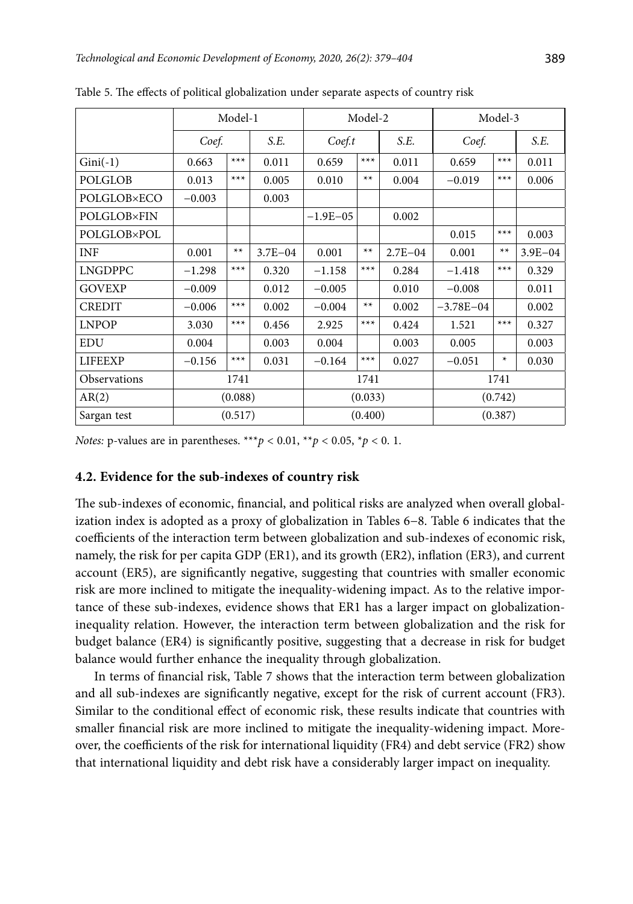|                    |          | Model-1 |             |              | Model-2 |             | Model-3       |       |             |  |
|--------------------|----------|---------|-------------|--------------|---------|-------------|---------------|-------|-------------|--|
|                    | Coef.    |         | S.E.        | Coef.t       |         | S.E.        | Coef.         |       | S.E.        |  |
| $Gini(-1)$         | 0.663    | $***$   | 0.011       | 0.659        | $***$   | 0.011       | 0.659         | $***$ | 0.011       |  |
| <b>POLGLOB</b>     | 0.013    | $***$   | 0.005       | 0.010        | $**$    | 0.004       | $-0.019$      | $***$ | 0.006       |  |
| POLGLOB×ECO        | $-0.003$ |         | 0.003       |              |         |             |               |       |             |  |
| <b>POLGLOB×FIN</b> |          |         |             | $-1.9E - 05$ |         | 0.002       |               |       |             |  |
| <b>POLGLOB×POL</b> |          |         |             |              |         |             | 0.015         | $***$ | 0.003       |  |
| <b>INF</b>         | 0.001    | $**$    | $3.7E - 04$ | 0.001        | $**$    | $2.7E - 04$ | 0.001         | $**$  | $3.9E - 04$ |  |
| <b>LNGDPPC</b>     | $-1.298$ | $***$   | 0.320       | $-1.158$     | $***$   | 0.284       | $-1.418$      | $***$ | 0.329       |  |
| <b>GOVEXP</b>      | $-0.009$ |         | 0.012       | $-0.005$     |         | 0.010       | $-0.008$      |       | 0.011       |  |
| <b>CREDIT</b>      | $-0.006$ | $***$   | 0.002       | $-0.004$     | $**$    | 0.002       | $-3.78E - 04$ |       | 0.002       |  |
| <b>LNPOP</b>       | 3.030    | $***$   | 0.456       | 2.925        | $***$   | 0.424       | 1.521         | $***$ | 0.327       |  |
| <b>EDU</b>         | 0.004    |         | 0.003       | 0.004        |         | 0.003       | 0.005         |       | 0.003       |  |
| <b>LIFEEXP</b>     | $-0.156$ | $***$   | 0.031       | $-0.164$     | $***$   | 0.027       | $-0.051$      | *     | 0.030       |  |
| Observations       | 1741     |         |             |              | 1741    |             | 1741          |       |             |  |
| AR(2)              | (0.088)  |         |             |              | (0.033) |             | (0.742)       |       |             |  |
| Sargan test        |          | (0.517) |             |              | (0.400) |             | (0.387)       |       |             |  |

Table 5. The effects of political globalization under separate aspects of country risk

## **4.2. Evidence for the sub-indexes of country risk**

The sub-indexes of economic, financial, and political risks are analyzed when overall globalization index is adopted as a proxy of globalization in Tables 6−8. Table 6 indicates that the coefficients of the interaction term between globalization and sub-indexes of economic risk, namely, the risk for per capita GDP (ER1), and its growth (ER2), inflation (ER3), and current account (ER5), are significantly negative, suggesting that countries with smaller economic risk are more inclined to mitigate the inequality-widening impact. As to the relative importance of these sub-indexes, evidence shows that ER1 has a larger impact on globalizationinequality relation. However, the interaction term between globalization and the risk for budget balance (ER4) is significantly positive, suggesting that a decrease in risk for budget balance would further enhance the inequality through globalization.

In terms of financial risk, Table 7 shows that the interaction term between globalization and all sub-indexes are significantly negative, except for the risk of current account (FR3). Similar to the conditional effect of economic risk, these results indicate that countries with smaller financial risk are more inclined to mitigate the inequality-widening impact. Moreover, the coefficients of the risk for international liquidity (FR4) and debt service (FR2) show that international liquidity and debt risk have a considerably larger impact on inequality.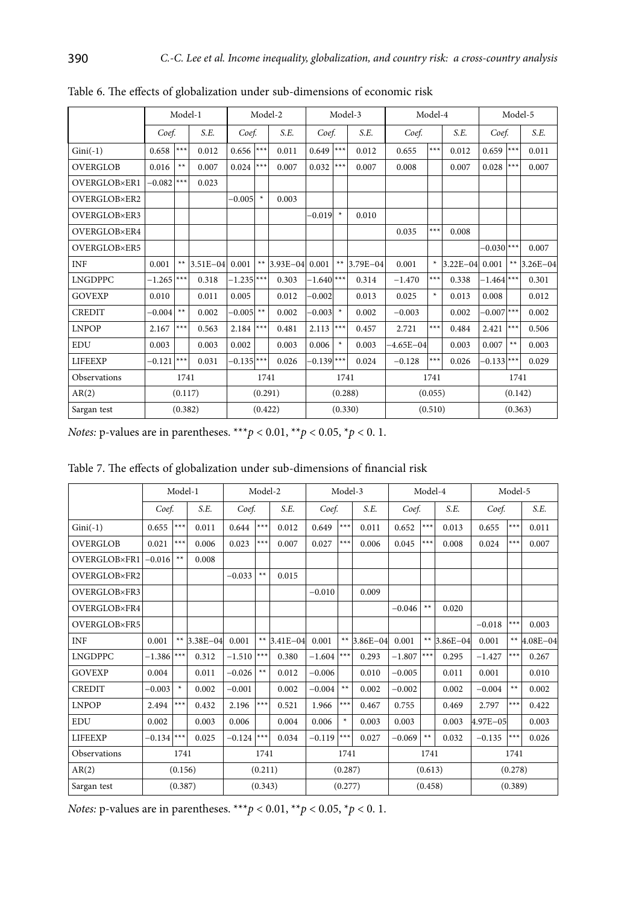|                 |          |         | Model-1      |                         |         | Model-2      |                         |         | Model-3      |               | Model-4 |              |                         |         | Model-5      |
|-----------------|----------|---------|--------------|-------------------------|---------|--------------|-------------------------|---------|--------------|---------------|---------|--------------|-------------------------|---------|--------------|
|                 | Coef.    |         | S.E.         | Coef.                   |         | S.E.         | Coef.                   |         | S.E.         | Coef.         |         | S.E.         | Coef.                   |         | S.E.         |
| $Gini(-1)$      | 0.658    | ***     | 0.012        | 0.656                   | ***     | 0.011        | 0.649                   | $***$   | 0.012        | 0.655         | $***$   | 0.012        | $0.659$ <sup>***</sup>  |         | 0.011        |
| <b>OVERGLOB</b> | 0.016    | $**$    | 0.007        | 0.024                   | $***$   | 0.007        | 0.032                   | $***$   | 0.007        | 0.008         |         | 0.007        | $0.028$ ***             |         | 0.007        |
| OVERGLOB×ER1    | $-0.082$ | $***$   | 0.023        |                         |         |              |                         |         |              |               |         |              |                         |         |              |
| OVERGLOB×ER2    |          |         |              | $-0.005$                | $\star$ | 0.003        |                         |         |              |               |         |              |                         |         |              |
| OVERGLOB×ER3    |          |         |              |                         |         |              | $-0.019$                | $\star$ | 0.010        |               |         |              |                         |         |              |
| OVERGLOB×ER4    |          |         |              |                         |         |              |                         |         |              | 0.035         | $***$   | 0.008        |                         |         |              |
| OVERGLOB×ER5    |          |         |              |                         |         |              |                         |         |              |               |         |              | $-0.030$ <sup>***</sup> |         | 0.007        |
| <b>INF</b>      | 0.001    | $**$    | $3.51E - 04$ | 0.001                   | $**$    | $3.93E - 04$ | 0.001                   | $**$    | $3.79E - 04$ | 0.001         | ×.      | $3.22E - 04$ | 0.001                   | $***$   | $3.26E - 04$ |
| <b>LNGDPPC</b>  | $-1.265$ | $***$   | 0.318        | $-1.235$ <sup>***</sup> |         | 0.303        | $-1.640$ <sup>***</sup> |         | 0.314        | $-1.470$      | $***$   | 0.338        | $-1.464$ $***$          |         | 0.301        |
| <b>GOVEXP</b>   | 0.010    |         | 0.011        | 0.005                   |         | 0.012        | $-0.002$                |         | 0.013        | 0.025         | ×.      | 0.013        | 0.008                   |         | 0.012        |
| <b>CREDIT</b>   | $-0.004$ | $**$    | 0.002        | $-0.005$ **             |         | 0.002        | $-0.003$                | $\star$ | 0.002        | $-0.003$      |         | 0.002        | $-0.007$ ***            |         | 0.002        |
| <b>LNPOP</b>    | 2.167    | $***$   | 0.563        | 2.184                   | ***     | 0.481        | 2.113                   | $***$   | 0.457        | 2.721         | $***$   | 0.484        | 2.421                   | $***$   | 0.506        |
| <b>EDU</b>      | 0.003    |         | 0.003        | 0.002                   |         | 0.003        | 0.006                   | $\ast$  | 0.003        | $-4.65E - 04$ |         | 0.003        | 0.007                   | $**$    | 0.003        |
| <b>LIFEEXP</b>  | $-0.121$ | $***$   | 0.031        | $-0.135$ ***            |         | 0.026        | $-0.139$ ***            |         | 0.024        | $-0.128$      | $***$   | 0.026        | $-0.133$ ***            |         | 0.029        |
| Observations    |          | 1741    |              |                         | 1741    |              |                         | 1741    |              |               | 1741    |              |                         | 1741    |              |
| AR(2)           |          | (0.117) |              |                         | (0.291) |              |                         | (0.288) |              |               | (0.055) |              |                         | (0.142) |              |
| Sargan test     |          | (0.382) |              |                         | (0.422) |              |                         | (0.330) |              |               | (0.510) |              |                         | (0.363) |              |

Table 6. The effects of globalization under sub-dimensions of economic risk

|  |  | Table 7. The effects of globalization under sub-dimensions of financial risk |  |
|--|--|------------------------------------------------------------------------------|--|
|  |  |                                                                              |  |

|                 |          |         | Model-1      |          | Model-2 |               |          | Model-3 |              |          | Model-4 |                 |          | Model-5 |          |
|-----------------|----------|---------|--------------|----------|---------|---------------|----------|---------|--------------|----------|---------|-----------------|----------|---------|----------|
|                 | Coef.    |         | S.E.         | Coef.    |         | S.E.          | Coef.    |         | S.E.         | Coef.    |         | S.E.            | Coef.    |         | S.E.     |
| $Gini(-1)$      | 0.655    | $***$   | 0.011        | 0.644    | $***$   | 0.012         | 0.649    | $***$   | 0.011        | 0.652    | $***$   | 0.013           | 0.655    | $***$   | 0.011    |
| <b>OVERGLOB</b> | 0.021    | $***$   | 0.006        | 0.023    | ***     | 0.007         | 0.027    | $***$   | 0.006        | 0.045    | ***     | 0.008           | 0.024    | $***$   | 0.007    |
| OVERGLOB×FR1    | $-0.016$ | $**$    | 0.008        |          |         |               |          |         |              |          |         |                 |          |         |          |
| OVERGLOB×FR2    |          |         |              | $-0.033$ | $**$    | 0.015         |          |         |              |          |         |                 |          |         |          |
| OVERGLOB×FR3    |          |         |              |          |         |               | $-0.010$ |         | 0.009        |          |         |                 |          |         |          |
| OVERGLOB×FR4    |          |         |              |          |         |               |          |         |              | $-0.046$ | $***$   | 0.020           |          |         |          |
| OVERGLOB×FR5    |          |         |              |          |         |               |          |         |              |          |         |                 | $-0.018$ | $***$   | 0.003    |
| <b>INF</b>      | 0.001    | $**$    | $3.38E - 04$ | 0.001    |         | ** $3.41E-04$ | 0.001    | $**$    | $3.86E - 04$ | 0.001    |         | ** $ 3.86E-04 $ | 0.001    | $**$    | 4.08E-04 |
| <b>LNGDPPC</b>  | $-1.386$ | ***     | 0.312        | $-1.510$ | ***     | 0.380         | $-1.604$ | $***$   | 0.293        | $-1.807$ | $***$   | 0.295           | $-1.427$ | ***     | 0.267    |
| <b>GOVEXP</b>   | 0.004    |         | 0.011        | $-0.026$ | **      | 0.012         | $-0.006$ |         | 0.010        | $-0.005$ |         | 0.011           | 0.001    |         | 0.010    |
| <b>CREDIT</b>   | $-0.003$ | $\ast$  | 0.002        | $-0.001$ |         | 0.002         | $-0.004$ | $**$    | 0.002        | $-0.002$ |         | 0.002           | $-0.004$ | $**$    | 0.002    |
| <b>LNPOP</b>    | 2.494    | ***     | 0.432        | 2.196    | $***$   | 0.521         | 1.966    | $***$   | 0.467        | 0.755    |         | 0.469           | 2.797    | ***     | 0.422    |
| <b>EDU</b>      | 0.002    |         | 0.003        | 0.006    |         | 0.004         | 0.006    | ×       | 0.003        | 0.003    |         | 0.003           | 4.97E-05 |         | 0.003    |
| <b>LIFEEXP</b>  | $-0.134$ | $***$   | 0.025        | $-0.124$ | $***$   | 0.034         | $-0.119$ | $***$   | 0.027        | $-0.069$ | **      | 0.032           | $-0.135$ | ***     | 0.026    |
| Observations    |          | 1741    |              |          | 1741    |               |          | 1741    |              |          | 1741    |                 |          | 1741    |          |
| AR(2)           |          | (0.156) |              |          | (0.211) |               |          | (0.287) |              |          | (0.613) |                 |          | (0.278) |          |
| Sargan test     |          | (0.387) |              |          | (0.343) |               |          | (0.277) |              |          | (0.458) |                 |          | (0.389) |          |

*Notes:* p-values are in parentheses. \*\*\**p* < 0.01, \*\**p* < 0.05, \**p* < 0. 1.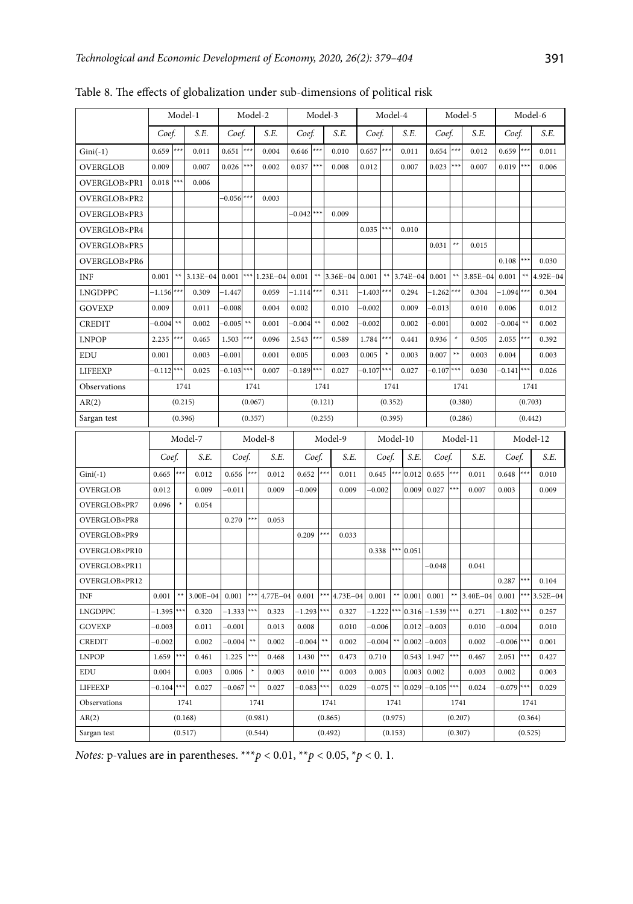|                      |                        |         | Model-1            |              | Model-2            |              |                         | Model-3            |              |             | Model-4            |              |              |                    | Model-5      |                        |                    | Model-6      |
|----------------------|------------------------|---------|--------------------|--------------|--------------------|--------------|-------------------------|--------------------|--------------|-------------|--------------------|--------------|--------------|--------------------|--------------|------------------------|--------------------|--------------|
|                      | Coef.                  |         | S.E.               | Coef.        |                    | S.E.         | Coef.                   |                    | S.E.         | Coef.       |                    | S.E.         | Coef.        |                    | S.E.         | Coef.                  |                    | S.E.         |
| $Gini(-1)$           | $0.659$ <sup>***</sup> |         | 0.011              | 0.651        | ***                | 0.004        | 0.646                   | $***$              | 0.010        | $0.657$ *** |                    | 0.011        | 0.654        | $***$              | 0.012        | 0.659                  | ***                | 0.011        |
| OVERGLOB             | 0.009                  |         | 0.007              | 0.026        | ***                | 0.002        | 0.037                   |                    | 0.008        | 0.012       |                    | 0.007        | 0.023        |                    | 0.007        | 0.019                  |                    | 0.006        |
| OVERGLOB×PR1         | 0.018                  |         | 0.006              |              |                    |              |                         |                    |              |             |                    |              |              |                    |              |                        |                    |              |
| OVERGLOB×PR2         |                        |         |                    | $-0.056$ *** |                    | 0.003        |                         |                    |              |             |                    |              |              |                    |              |                        |                    |              |
| OVERGLOB×PR3         |                        |         |                    |              |                    |              | $-0.042$ ***            |                    | 0.009        |             |                    |              |              |                    |              |                        |                    |              |
| OVERGLOB×PR4         |                        |         |                    |              |                    |              |                         |                    |              | 0.035       | ***                | 0.010        |              |                    |              |                        |                    |              |
| OVERGLOB×PR5         |                        |         |                    |              |                    |              |                         |                    |              |             |                    |              | 0.031        | ××                 | 0.015        |                        |                    |              |
| OVERGLOB×PR6         |                        |         |                    |              |                    |              |                         |                    |              |             |                    |              |              |                    |              | 0.108                  | ***                | 0.030        |
| <b>INF</b>           | 0.001                  | ××      | 3.13E-04           | 0.001        |                    | *** 1.23E-04 | 0.001                   | ××                 | $3.36E - 04$ | 0.001       | $**$               | $3.74E - 04$ | 0.001        | ××                 | 3.85E-04     | 0.001                  | ××                 | $4.92E - 04$ |
| <b>LNGDPPC</b>       | $-1.156$ <sup>**</sup> |         | 0.309              | $-1.447$     |                    | 0.059        | $-1.114$ <sup>**</sup>  |                    | 0.311        | $-1.403$    |                    | 0.294        | $-1.262$     |                    | 0.304        | $-1.094$ <sup>**</sup> |                    | 0.304        |
| <b>GOVEXP</b>        | 0.009                  |         | 0.011              | $-0.008$     |                    | 0.004        | 0.002                   |                    | 0.010        | $-0.002$    |                    | 0.009        | $-0.013$     |                    | 0.010        | 0.006                  |                    | 0.012        |
| <b>CREDIT</b>        | $-0.004$               | ××      | 0.002              | $-0.005$     | $**$               | 0.001        | $-0.004$                | ××                 | 0.002        | $-0.002$    |                    | 0.002        | $-0.001$     |                    | 0.002        | $-0.004$               | ××                 | 0.002        |
| <b>LNPOP</b>         | 2.235                  | €×      | 0.465              | 1.503        | ×××                | 0.096        | 2.543                   | ***                | 0.589        | 1.784       | ***                | 0.441        | 0.936        |                    | 0.505        | 2.055                  |                    | 0.392        |
| <b>EDU</b>           | 0.001                  |         | 0.003              | $-0.001$     |                    | 0.001        | 0.005                   |                    | 0.003        | 0.005       | $\ast$             | 0.003        | 0.007        | $**$               | 0.003        | 0.004                  |                    | 0.003        |
| LIFEEXP              | $-0.112$ ***           |         | 0.025              | $-0.103$ *** |                    | 0.007        | $-0.189$ <sup>***</sup> |                    | 0.027        | $-0.107$    | ***                | 0.027        | $-0.107$     | ***                | 0.030        | $-0.141$               |                    | 0.026        |
| Observations         |                        | 1741    |                    |              | 1741               |              |                         | 1741               |              |             | 1741               |              |              | 1741               |              |                        | 1741               |              |
| AR(2)                |                        | (0.215) |                    |              | (0.067)            |              |                         | (0.121)            |              |             | (0.352)            |              |              | (0.380)            |              |                        | (0.703)            |              |
| Sargan test          |                        | (0.396) |                    |              | (0.357)            |              |                         | (0.255)            |              |             | (0.395)            |              |              | (0.286)            |              |                        | (0.442)            |              |
|                      |                        |         |                    |              |                    |              |                         |                    |              |             |                    |              |              |                    |              |                        |                    |              |
|                      |                        |         | Model-7            |              |                    | Model-8      |                         |                    | Model-9      |             |                    | Model-10     |              |                    | Model-11     |                        |                    | Model-12     |
|                      | Coef.                  |         | S.E.               | Coef.        |                    | S.E.         | Coef.                   |                    | S.E.         |             | Coef.              | S.E.         | Coef.        |                    | S.E.         | Coef.                  |                    | S.E.         |
| $Gini(-1)$           | 0.665                  | ***     | 0.012              | 0.656        | $***$              | 0.012        | 0.652                   | ***                | 0.011        | 0.645       | ***                | 0.012        | 0.655        | ***                | 0.011        | 0.648                  | **                 | 0.010        |
| <b>OVERGLOB</b>      | 0.012                  |         | 0.009              | $-0.011$     |                    | 0.009        | $-0.009$                |                    | 0.009        | $-0.002$    |                    | 0.009        | 0.027        |                    | 0.007        | 0.003                  |                    | 0.009        |
| OVERGLOB×PR7         | 0.096                  |         | 0.054              |              |                    |              |                         |                    |              |             |                    |              |              |                    |              |                        |                    |              |
| OVERGLOB×PR8         |                        |         |                    | 0.270        | ***                | 0.053        |                         |                    |              |             |                    |              |              |                    |              |                        |                    |              |
| OVERGLOB×PR9         |                        |         |                    |              |                    |              | 0.209                   | ***                | 0.033        |             |                    |              |              |                    |              |                        |                    |              |
| OVERGLOB×PR10        |                        |         |                    |              |                    |              |                         |                    |              | 0.338       |                    | $*** 0.051$  |              |                    |              |                        |                    |              |
| OVERGLOB×PR11        |                        |         |                    |              |                    |              |                         |                    |              |             |                    |              | $-0.048$     |                    | 0.041        |                        |                    |              |
| OVERGLOB×PR12        |                        |         |                    |              |                    |              |                         |                    |              |             |                    |              |              |                    |              | 0.287                  |                    | 0.104        |
| <b>INF</b>           | 0.001                  | **      | 3.00E-04           | 0.001        | ***                | 4.77E-04     | 0.001                   | ***                | 4.73E-04     | 0.001       | ××                 | 0.001        | 0.001        | $**$               | $3.40E - 04$ | 0.001                  |                    | 3.52E-04     |
| <b>LNGDPPC</b>       | $-1.395$               | ÷××     | 0.320              | $-1.333$     |                    | 0.323        | $-1.293$                |                    | 0.327        | $-1.222$    |                    | 0.316        | $-1.539$ *** |                    | 0.271        | $-1.802$               |                    | 0.257        |
| <b>GOVEXP</b>        | $-0.003$               |         | 0.011              | $-0.001$     |                    | 0.013        | 0.008                   |                    | 0.010        | $-0.006$    |                    | 0.012        | $-0.003$     |                    | 0.010        | $-0.004$               |                    | 0.010        |
| <b>CREDIT</b>        | $-0.002$               |         | 0.002              | $-0.004$     | ××                 | 0.002        | $-0.004$                | $**$               | 0.002        | $-0.004$    |                    | 0.002        | $-0.003$     |                    | 0.002        | $-0.006$               |                    | 0.001        |
| <b>LNPOP</b>         | 1.659                  | ***     | 0.461              | 1.225        | ***                | 0.468        | 1.430                   | ***                | 0.473        | 0.710       |                    | 0.543        | 1.947        |                    | 0.467        | 2.051                  |                    | 0.427        |
| <b>EDU</b>           | 0.004                  |         | 0.003              | 0.006        |                    | 0.003        | 0.010                   | ***                | 0.003        | 0.003       |                    | 0.003        | 0.002        |                    | 0.003        | 0.002                  |                    | 0.003        |
| <b>LIFEEXP</b>       | $-0.104$               | ×××     | 0.027              | $-0.067$     | ××                 | 0.027        | $-0.083$                | ×××                | 0.029        | $-0.075$    | **                 | 0.029        | $-0.105$ *** |                    | 0.024        | $-0.079$               | ××                 | 0.029        |
| Observations         |                        | 1741    |                    |              | 1741               |              |                         | 1741               |              |             | 1741               |              |              | 1741               |              |                        | 1741               |              |
| AR(2)<br>Sargan test |                        |         | (0.168)<br>(0.517) |              | (0.981)<br>(0.544) |              |                         | (0.865)<br>(0.492) |              |             | (0.975)<br>(0.153) |              |              | (0.207)<br>(0.307) |              |                        | (0.364)<br>(0.525) |              |

Table 8. The effects of globalization under sub-dimensions of political risk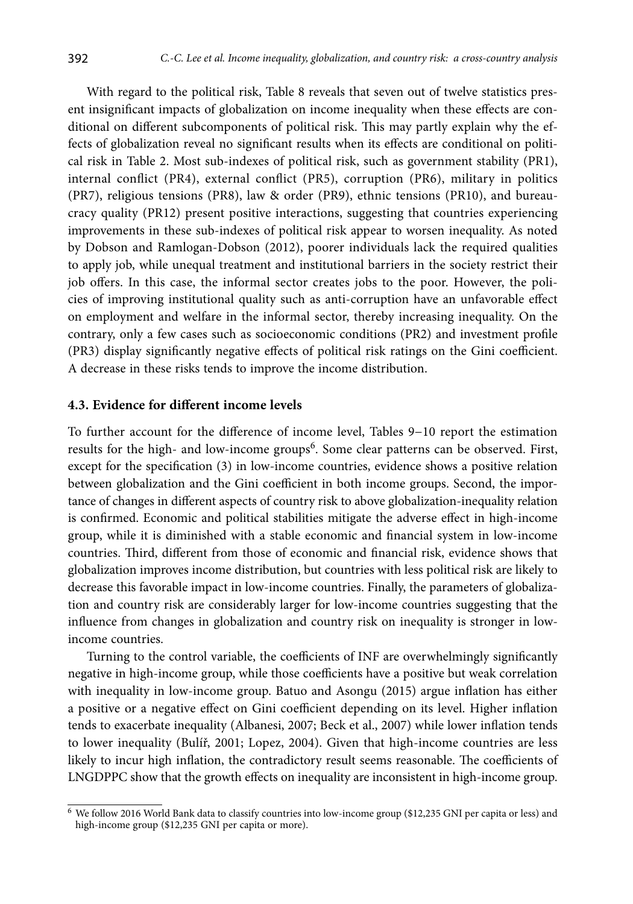With regard to the political risk, Table 8 reveals that seven out of twelve statistics present insignificant impacts of globalization on income inequality when these effects are conditional on different subcomponents of political risk. This may partly explain why the effects of globalization reveal no significant results when its effects are conditional on political risk in Table 2. Most sub-indexes of political risk, such as government stability (PR1), internal conflict (PR4), external conflict (PR5), corruption (PR6), military in politics (PR7), religious tensions (PR8), law & order (PR9), ethnic tensions (PR10), and bureaucracy quality (PR12) present positive interactions, suggesting that countries experiencing improvements in these sub-indexes of political risk appear to worsen inequality. As noted by Dobson and Ramlogan-Dobson (2012), poorer individuals lack the required qualities to apply job, while unequal treatment and institutional barriers in the society restrict their job offers. In this case, the informal sector creates jobs to the poor. However, the policies of improving institutional quality such as anti-corruption have an unfavorable effect on employment and welfare in the informal sector, thereby increasing inequality. On the contrary, only a few cases such as socioeconomic conditions (PR2) and investment profile (PR3) display significantly negative effects of political risk ratings on the Gini coefficient. A decrease in these risks tends to improve the income distribution.

#### **4.3. Evidence for different income levels**

To further account for the difference of income level, Tables 9−10 report the estimation results for the high- and low-income groups<sup>6</sup>. Some clear patterns can be observed. First, except for the specification (3) in low-income countries, evidence shows a positive relation between globalization and the Gini coefficient in both income groups. Second, the importance of changes in different aspects of country risk to above globalization-inequality relation is confirmed. Economic and political stabilities mitigate the adverse effect in high-income group, while it is diminished with a stable economic and financial system in low-income countries. Third, different from those of economic and financial risk, evidence shows that globalization improves income distribution, but countries with less political risk are likely to decrease this favorable impact in low-income countries. Finally, the parameters of globalization and country risk are considerably larger for low-income countries suggesting that the influence from changes in globalization and country risk on inequality is stronger in lowincome countries.

Turning to the control variable, the coefficients of INF are overwhelmingly significantly negative in high-income group, while those coefficients have a positive but weak correlation with inequality in low-income group. Batuo and Asongu (2015) argue inflation has either a positive or a negative effect on Gini coefficient depending on its level. Higher inflation tends to exacerbate inequality (Albanesi, 2007; Beck et al., 2007) while lower inflation tends to lower inequality (Bulíř, 2001; Lopez, 2004). Given that high-income countries are less likely to incur high inflation, the contradictory result seems reasonable. The coefficients of LNGDPPC show that the growth effects on inequality are inconsistent in high-income group.

<sup>6</sup> We follow 2016 World Bank data to classify countries into low-income group (\$12,235 GNI per capita or less) and high-income group (\$12,235 GNI per capita or more).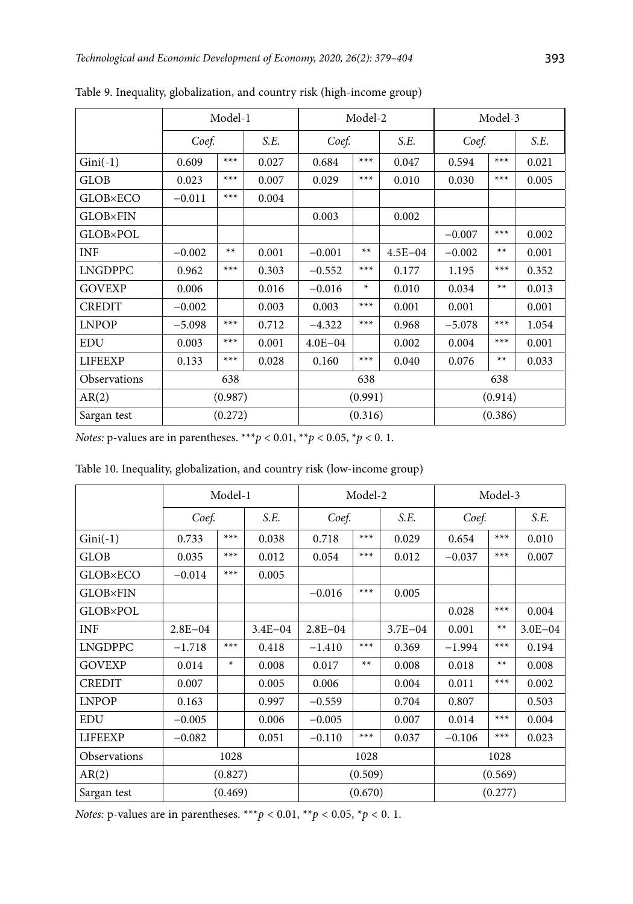|                 |          | Model-1 |       |             | Model-2 |             | Model-3  |       |       |  |
|-----------------|----------|---------|-------|-------------|---------|-------------|----------|-------|-------|--|
|                 | Coef.    |         | S.E.  | Coef.       |         | S.E.        | Coef.    |       | S.E.  |  |
| $Gini(-1)$      | 0.609    | $***$   | 0.027 | 0.684       | $***$   | 0.047       | 0.594    | $***$ | 0.021 |  |
| GLOB            | 0.023    | $***$   | 0.007 | 0.029       | $***$   | 0.010       | 0.030    | $***$ | 0.005 |  |
| <b>GLOB×ECO</b> | $-0.011$ | $***$   | 0.004 |             |         |             |          |       |       |  |
| <b>GLOB×FIN</b> |          |         |       | 0.003       |         | 0.002       |          |       |       |  |
| <b>GLOB×POL</b> |          |         |       |             |         |             | $-0.007$ | $***$ | 0.002 |  |
| <b>INF</b>      | $-0.002$ | $**$    | 0.001 | $-0.001$    | $**$    | $4.5E - 04$ | $-0.002$ | $**$  | 0.001 |  |
| <b>LNGDPPC</b>  | 0.962    | $***$   | 0.303 | $-0.552$    | $***$   | 0.177       | 1.195    | $***$ | 0.352 |  |
| <b>GOVEXP</b>   | 0.006    |         | 0.016 | $-0.016$    | *       | 0.010       | 0.034    | $**$  | 0.013 |  |
| <b>CREDIT</b>   | $-0.002$ |         | 0.003 | 0.003       | $***$   | 0.001       | 0.001    |       | 0.001 |  |
| <b>LNPOP</b>    | $-5.098$ | $***$   | 0.712 | $-4.322$    | $***$   | 0.968       | $-5.078$ | $***$ | 1.054 |  |
| <b>EDU</b>      | 0.003    | $***$   | 0.001 | $4.0E - 04$ |         | 0.002       | 0.004    | $***$ | 0.001 |  |
| <b>LIFEEXP</b>  | 0.133    | $***$   | 0.028 | 0.160       | $***$   | 0.040       | 0.076    | $**$  | 0.033 |  |
| Observations    |          | 638     |       |             | 638     |             | 638      |       |       |  |
| AR(2)           |          | (0.987) |       |             | (0.991) |             | (0.914)  |       |       |  |
| Sargan test     | (0.272)  |         |       |             | (0.316) |             | (0.386)  |       |       |  |

Table 9. Inequality, globalization, and country risk (high-income group)

| Table 10. Inequality, globalization, and country risk (low-income group)                  |             |         |             |             |         |             |          |         |             |  |
|-------------------------------------------------------------------------------------------|-------------|---------|-------------|-------------|---------|-------------|----------|---------|-------------|--|
|                                                                                           |             | Model-1 |             |             | Model-2 |             |          | Model-3 |             |  |
|                                                                                           |             | Coef.   |             |             | Coef.   |             | Coef.    |         | S.E.        |  |
| $Gini(-1)$                                                                                | 0.733       | $***$   | 0.038       | 0.718       | $***$   | 0.029       | 0.654    | $***$   | 0.010       |  |
| <b>GLOB</b>                                                                               | 0.035       | $***$   | 0.012       | 0.054       | $***$   | 0.012       | $-0.037$ | $***$   | 0.007       |  |
| <b>GLOB×ECO</b>                                                                           | $-0.014$    | $***$   | 0.005       |             |         |             |          |         |             |  |
| <b>GLOB×FIN</b>                                                                           |             |         |             | $-0.016$    | $***$   | 0.005       |          |         |             |  |
| <b>GLOB×POL</b>                                                                           |             |         |             |             |         |             | 0.028    | $***$   | 0.004       |  |
| <b>INF</b>                                                                                | $2.8E - 04$ |         | $3.4E - 04$ | $2.8E - 04$ |         | $3.7E - 04$ | 0.001    | $**$    | $3.0E - 04$ |  |
| <b>LNGDPPC</b>                                                                            | $-1.718$    | $***$   | 0.418       | $-1.410$    | $***$   | 0.369       | $-1.994$ | $***$   | 0.194       |  |
| <b>GOVEXP</b>                                                                             | 0.014       | ¥       | 0.008       | 0.017       | $**$    | 0.008       | 0.018    | $**$    | 0.008       |  |
| <b>CREDIT</b>                                                                             | 0.007       |         | 0.005       | 0.006       |         | 0.004       | 0.011    | $***$   | 0.002       |  |
| <b>LNPOP</b>                                                                              | 0.163       |         | 0.997       | $-0.559$    |         | 0.704       | 0.807    |         | 0.503       |  |
| <b>EDU</b>                                                                                | $-0.005$    |         | 0.006       | $-0.005$    |         | 0.007       | 0.014    | $***$   | 0.004       |  |
| <b>LIFEEXP</b>                                                                            | $-0.082$    |         | 0.051       | $-0.110$    | $***$   | 0.037       | $-0.106$ | $***$   | 0.023       |  |
| Observations                                                                              |             | 1028    |             |             | 1028    |             |          | 1028    |             |  |
| AR(2)                                                                                     |             | (0.827) |             | (0.509)     |         |             | (0.569)  |         |             |  |
| Sargan test                                                                               |             | (0.469) |             | (0.670)     |         |             | (0.277)  |         |             |  |
| <i>Notes:</i> p-values are in parentheses. *** $p < 0.01$ , ** $p < 0.05$ , * $p < 0.1$ . |             |         |             |             |         |             |          |         |             |  |

Table 10. Inequality, globalization, and country risk (low-income group)

*Notes:* p-values are in parentheses. \*\*\**p* < 0.01, \*\**p* < 0.05, \**p* < 0. 1.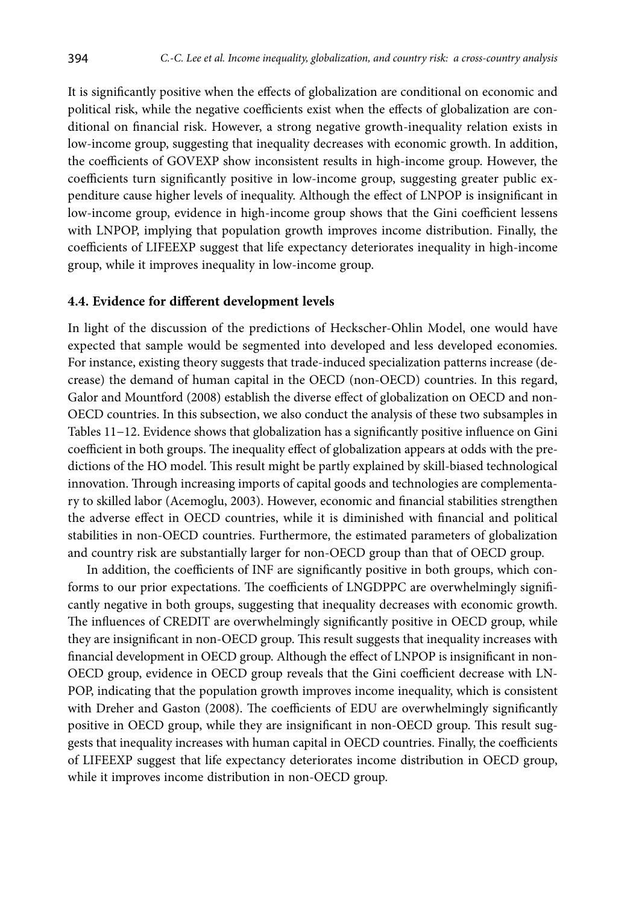It is significantly positive when the effects of globalization are conditional on economic and political risk, while the negative coefficients exist when the effects of globalization are conditional on financial risk. However, a strong negative growth-inequality relation exists in low-income group, suggesting that inequality decreases with economic growth. In addition, the coefficients of GOVEXP show inconsistent results in high-income group. However, the coefficients turn significantly positive in low-income group, suggesting greater public expenditure cause higher levels of inequality. Although the effect of LNPOP is insignificant in low-income group, evidence in high-income group shows that the Gini coefficient lessens with LNPOP, implying that population growth improves income distribution. Finally, the coefficients of LIFEEXP suggest that life expectancy deteriorates inequality in high-income group, while it improves inequality in low-income group.

#### **4.4. Evidence for different development levels**

In light of the discussion of the predictions of Heckscher-Ohlin Model, one would have expected that sample would be segmented into developed and less developed economies. For instance, existing theory suggests that trade-induced specialization patterns increase (decrease) the demand of human capital in the OECD (non-OECD) countries. In this regard, Galor and Mountford (2008) establish the diverse effect of globalization on OECD and non-OECD countries. In this subsection, we also conduct the analysis of these two subsamples in Tables 11−12. Evidence shows that globalization has a significantly positive influence on Gini coefficient in both groups. The inequality effect of globalization appears at odds with the predictions of the HO model. This result might be partly explained by skill-biased technological innovation. Through increasing imports of capital goods and technologies are complementary to skilled labor (Acemoglu, 2003). However, economic and financial stabilities strengthen the adverse effect in OECD countries, while it is diminished with financial and political stabilities in non-OECD countries. Furthermore, the estimated parameters of globalization and country risk are substantially larger for non-OECD group than that of OECD group.

In addition, the coefficients of INF are significantly positive in both groups, which conforms to our prior expectations. The coefficients of LNGDPPC are overwhelmingly significantly negative in both groups, suggesting that inequality decreases with economic growth. The influences of CREDIT are overwhelmingly significantly positive in OECD group, while they are insignificant in non-OECD group. This result suggests that inequality increases with financial development in OECD group. Although the effect of LNPOP is insignificant in non-OECD group, evidence in OECD group reveals that the Gini coefficient decrease with LN-POP, indicating that the population growth improves income inequality, which is consistent with Dreher and Gaston (2008). The coefficients of EDU are overwhelmingly significantly positive in OECD group, while they are insignificant in non-OECD group. This result suggests that inequality increases with human capital in OECD countries. Finally, the coefficients of LIFEEXP suggest that life expectancy deteriorates income distribution in OECD group, while it improves income distribution in non-OECD group.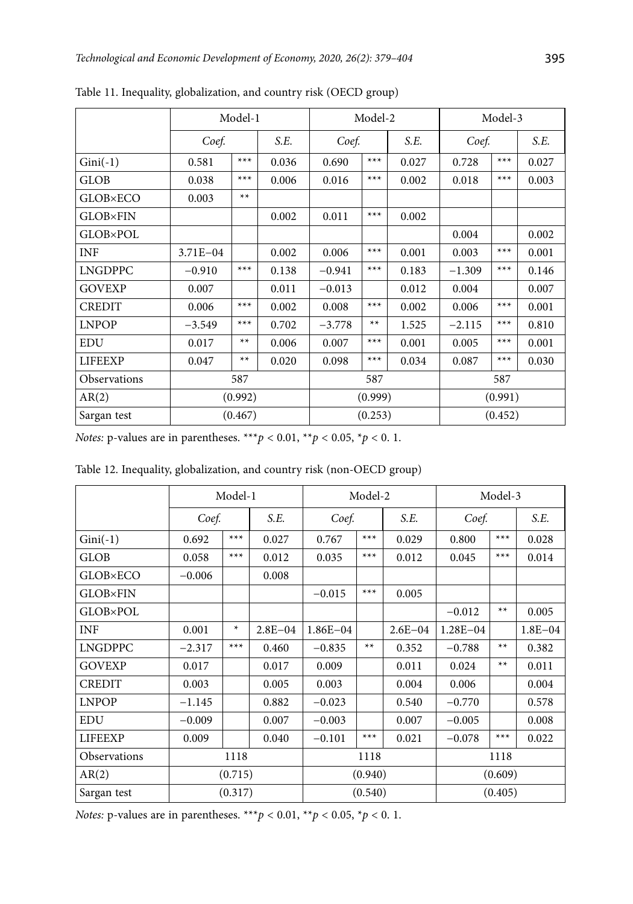|                 |                | Model-1 |       |          | Model-2 |       |          | Model-3 |       |  |
|-----------------|----------------|---------|-------|----------|---------|-------|----------|---------|-------|--|
|                 | Coef.          |         | S.E.  | Coef.    |         | S.E.  | Coef.    |         | S.E.  |  |
| $Gini(-1)$      | $***$<br>0.581 |         | 0.036 | 0.690    | $***$   | 0.027 | 0.728    | $***$   | 0.027 |  |
| <b>GLOB</b>     | 0.038          | $***$   | 0.006 | 0.016    | $***$   | 0.002 | 0.018    | $***$   | 0.003 |  |
| <b>GLOB×ECO</b> | 0.003          | $**$    |       |          |         |       |          |         |       |  |
| <b>GLOB×FIN</b> |                |         | 0.002 | 0.011    | $***$   | 0.002 |          |         |       |  |
| <b>GLOB×POL</b> |                |         |       |          |         |       | 0.004    |         | 0.002 |  |
| <b>INF</b>      | $3.71E - 04$   |         | 0.002 | 0.006    | $***$   | 0.001 | 0.003    | $***$   | 0.001 |  |
| <b>LNGDPPC</b>  | $-0.910$       | $***$   | 0.138 | $-0.941$ | $***$   | 0.183 | $-1.309$ | $***$   | 0.146 |  |
| <b>GOVEXP</b>   | 0.007          |         | 0.011 | $-0.013$ |         | 0.012 | 0.004    |         | 0.007 |  |
| <b>CREDIT</b>   | 0.006          | $***$   | 0.002 | 0.008    | $***$   | 0.002 | 0.006    | $***$   | 0.001 |  |
| <b>LNPOP</b>    | $-3.549$       | $***$   | 0.702 | $-3.778$ | $**$    | 1.525 | $-2.115$ | $***$   | 0.810 |  |
| <b>EDU</b>      | 0.017          | $**$    | 0.006 | 0.007    | $***$   | 0.001 | 0.005    | $***$   | 0.001 |  |
| <b>LIFEEXP</b>  | 0.047          | $**$    | 0.020 | 0.098    | $***$   | 0.034 | 0.087    | $***$   | 0.030 |  |
| Observations    | 587            |         |       | 587      |         |       |          | 587     |       |  |
| AR(2)           |                | (0.992) |       | (0.999)  |         |       |          | (0.991) |       |  |
| Sargan test     |                | (0.467) |       |          | (0.253) |       |          | (0.452) |       |  |

Table 11. Inequality, globalization, and country risk (OECD group)

Table 12. Inequality, globalization, and country risk (non-OECD group)

|                 |                            | Model-1 |             |              | Model-2       |             |              | Model-3 |             |  |
|-----------------|----------------------------|---------|-------------|--------------|---------------|-------------|--------------|---------|-------------|--|
|                 | Coef.                      |         | S.E.        |              | S.E.<br>Coef. |             | Coef.        |         | S.E.        |  |
| $Gini(-1)$      | 0.692                      | $***$   | 0.027       | 0.767        | $***$         | 0.029       | 0.800        | $***$   | 0.028       |  |
| <b>GLOB</b>     | $***$<br>0.012<br>0.058    |         |             | 0.035        | $***$         | 0.012       | 0.045        | $***$   | 0.014       |  |
| <b>GLOB×ECO</b> | $-0.006$<br>0.008          |         |             |              |               |             |              |         |             |  |
| <b>GLOB×FIN</b> |                            |         |             | $-0.015$     | $***$         | 0.005       |              |         |             |  |
| <b>GLOB×POL</b> |                            |         |             |              |               |             | $-0.012$     | $**$    | 0.005       |  |
| <b>INF</b>      | 0.001                      | *       | $2.8E - 04$ | $1.86E - 04$ |               | $2.6E - 04$ | $1.28E - 04$ |         | $1.8E - 04$ |  |
| <b>LNGDPPC</b>  | $***$<br>$-2.317$<br>0.460 |         |             | $-0.835$     | $**$          | 0.352       | $-0.788$     | $**$    | 0.382       |  |
| <b>GOVEXP</b>   | 0.017                      |         | 0.017       | 0.009        |               | 0.011       | 0.024        | $**$    | 0.011       |  |
| <b>CREDIT</b>   | 0.003                      |         | 0.005       | 0.003        |               | 0.004       | 0.006        |         | 0.004       |  |
| <b>LNPOP</b>    | $-1.145$                   |         | 0.882       | $-0.023$     |               | 0.540       | $-0.770$     |         | 0.578       |  |
| <b>EDU</b>      | $-0.009$                   |         | 0.007       | $-0.003$     |               | 0.007       | $-0.005$     |         | 0.008       |  |
| <b>LIFEEXP</b>  | 0.009                      |         | 0.040       | $-0.101$     | $***$         | 0.021       | $-0.078$     | $***$   | 0.022       |  |
| Observations    | 1118                       |         |             | 1118         |               |             | 1118         |         |             |  |
| AR(2)           | (0.715)                    |         | (0.940)     |              |               | (0.609)     |              |         |             |  |
| Sargan test     | (0.317)                    |         | (0.540)     |              |               | (0.405)     |              |         |             |  |

*Notes:* p-values are in parentheses. \*\*\**p* < 0.01, \*\**p* < 0.05, \**p* < 0.1.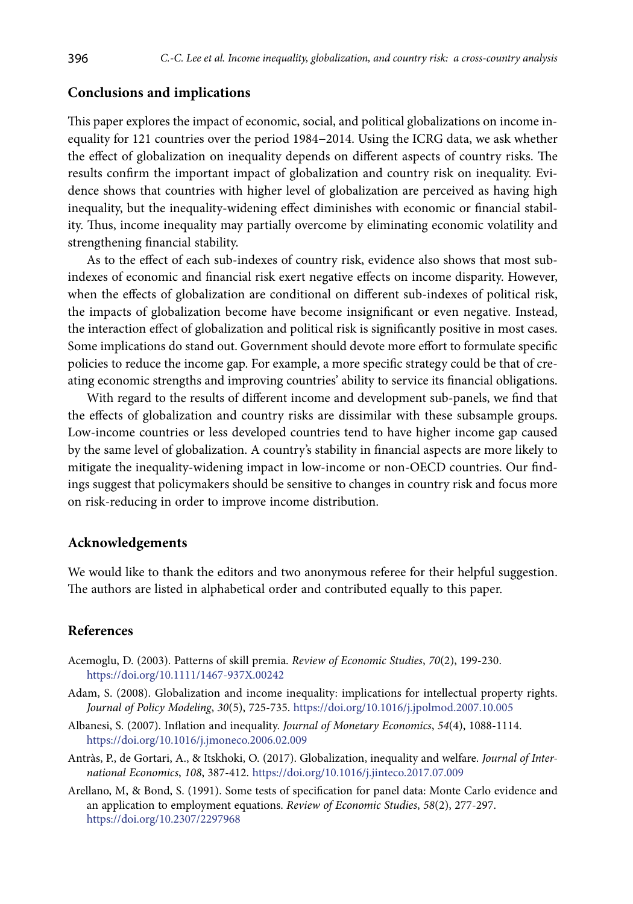## **Conclusions and implications**

This paper explores the impact of economic, social, and political globalizations on income inequality for 121 countries over the period 1984−2014. Using the ICRG data, we ask whether the effect of globalization on inequality depends on different aspects of country risks. The results confirm the important impact of globalization and country risk on inequality. Evidence shows that countries with higher level of globalization are perceived as having high inequality, but the inequality-widening effect diminishes with economic or financial stability. Thus, income inequality may partially overcome by eliminating economic volatility and strengthening financial stability.

As to the effect of each sub-indexes of country risk, evidence also shows that most subindexes of economic and financial risk exert negative effects on income disparity. However, when the effects of globalization are conditional on different sub-indexes of political risk, the impacts of globalization become have become insignificant or even negative. Instead, the interaction effect of globalization and political risk is significantly positive in most cases. Some implications do stand out. Government should devote more effort to formulate specific policies to reduce the income gap. For example, a more specific strategy could be that of creating economic strengths and improving countries' ability to service its financial obligations.

With regard to the results of different income and development sub-panels, we find that the effects of globalization and country risks are dissimilar with these subsample groups. Low-income countries or less developed countries tend to have higher income gap caused by the same level of globalization. A country's stability in financial aspects are more likely to mitigate the inequality-widening impact in low-income or non-OECD countries. Our findings suggest that policymakers should be sensitive to changes in country risk and focus more on risk-reducing in order to improve income distribution.

#### **Acknowledgements**

We would like to thank the editors and two anonymous referee for their helpful suggestion. The authors are listed in alphabetical order and contributed equally to this paper.

## **References**

- Acemoglu, D. (2003). Patterns of skill premia. *Review of Economic Studies*, *70*(2), 199-230. <https://doi.org/10.1111/1467-937X.00242>
- Adam, S. (2008). Globalization and income inequality: implications for intellectual property rights. *Journal of Policy Modeling*, *30*(5), 725-735. <https://doi.org/10.1016/j.jpolmod.2007.10.005>
- Albanesi, S. (2007). Inflation and inequality. *Journal of Monetary Economics*, *54*(4), 1088-1114. <https://doi.org/10.1016/j.jmoneco.2006.02.009>
- Antràs, P., de Gortari, A., & Itskhoki, O. (2017). Globalization, inequality and welfare. *Journal of International Economics*, *108*, 387-412. <https://doi.org/10.1016/j.jinteco.2017.07.009>
- Arellano, M, & Bond, S. (1991). Some tests of specification for panel data: Monte Carlo evidence and an application to employment equations. *Review of Economic Studies*, *58*(2), 277-297. <https://doi.org/10.2307/2297968>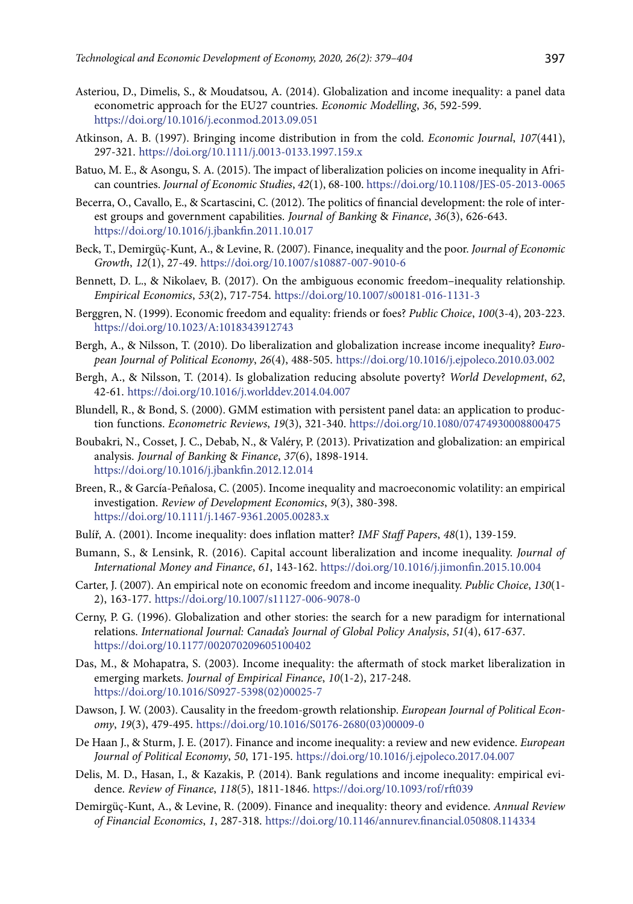- Asteriou, D., Dimelis, S., & Moudatsou, A. (2014). Globalization and income inequality: a panel data econometric approach for the EU27 countries. *Economic Modelling*, *36*, 592-599. <https://doi.org/10.1016/j.econmod.2013.09.051>
- Atkinson, A. B. (1997). Bringing income distribution in from the cold. *Economic Journal*, *107*(441), 297-321.<https://doi.org/10.1111/j.0013-0133.1997.159.x>
- Batuo, M. E., & Asongu, S. A. (2015). The impact of liberalization policies on income inequality in African countries. *Journal of Economic Studies*, *42*(1), 68-100. <https://doi.org/10.1108/JES-05-2013-0065>
- Becerra, O., Cavallo, E., & Scartascini, C. (2012). The politics of financial development: the role of interest groups and government capabilities. *Journal of Banking* & *Finance*, *36*(3), 626-643. <https://doi.org/10.1016/j.jbankfin.2011.10.017>
- Beck, T., Demirgüç-Kunt, A., & Levine, R. (2007). Finance, inequality and the poor. *Journal of Economic Growth*, *12*(1), 27-49. <https://doi.org/10.1007/s10887-007-9010-6>
- Bennett, D. L., & Nikolaev, B. (2017). On the ambiguous economic freedom–inequality relationship. *Empirical Economics*, *53*(2), 717-754. <https://doi.org/10.1007/s00181-016-1131-3>
- Berggren, N. (1999). Economic freedom and equality: friends or foes? *Public Choice*, *100*(3-4), 203-223. <https://doi.org/10.1023/A:1018343912743>
- Bergh, A., & Nilsson, T. (2010). Do liberalization and globalization increase income inequality? *European Journal of Political Economy*, *26*(4), 488-505. <https://doi.org/10.1016/j.ejpoleco.2010.03.002>
- Bergh, A., & Nilsson, T. (2014). Is globalization reducing absolute poverty? *World Development*, *62*, 42-61. <https://doi.org/10.1016/j.worlddev.2014.04.007>
- Blundell, R., & Bond, S. (2000). GMM estimation with persistent panel data: an application to production functions. *Econometric Reviews*, *19*(3), 321-340. <https://doi.org/10.1080/07474930008800475>
- Boubakri, N., Cosset, J. C., Debab, N., & Valéry, P. (2013). Privatization and globalization: an empirical analysis. *Journal of Banking* & *Finance*, *37*(6), 1898-1914. <https://doi.org/10.1016/j.jbankfin.2012.12.014>
- Breen, R., & García‐Peñalosa, C. (2005). Income inequality and macroeconomic volatility: an empirical investigation. *Review of Development Economics*, *9*(3), 380-398. <https://doi.org/10.1111/j.1467-9361.2005.00283.x>
- Bulíř, A. (2001). Income inequality: does inflation matter? *IMF Staff Papers*, *48*(1), 139-159.
- Bumann, S., & Lensink, R. (2016). Capital account liberalization and income inequality. *Journal of International Money and Finance*, *61*, 143-162. <https://doi.org/10.1016/j.jimonfin.2015.10.004>
- Carter, J. (2007). An empirical note on economic freedom and income inequality. *Public Choice*, *130*(1- 2), 163-177. <https://doi.org/10.1007/s11127-006-9078-0>
- Cerny, P. G. (1996). Globalization and other stories: the search for a new paradigm for international relations. *International Journal: Canada's Journal of Global Policy Analysis*, *51*(4), 617-637. <https://doi.org/10.1177/002070209605100402>
- Das, M., & Mohapatra, S. (2003). Income inequality: the aftermath of stock market liberalization in emerging markets. *Journal of Empirical Finance*, *10*(1-2), 217-248. [https://doi.org/10.1016/S0927-5398\(02\)00025-7](https://doi.org/10.1016/S0927-5398(02)00025-7)
- Dawson, J. W. (2003). Causality in the freedom-growth relationship. *European Journal of Political Economy*, *19*(3), 479-495. [https://doi.org/10.1016/S0176-2680\(03\)00009-0](https://doi.org/10.1016/S0176-2680(03)00009-0)
- De Haan J., & Sturm, J. E. (2017). Finance and income inequality: a review and new evidence. *European Journal of Political Economy*, *50*, 171-195. <https://doi.org/10.1016/j.ejpoleco.2017.04.007>
- Delis, M. D., Hasan, I., & Kazakis, P. (2014). Bank regulations and income inequality: empirical evidence. *Review of Finance*, *118*(5), 1811-1846. <https://doi.org/10.1093/rof/rft039>
- Demirgüç-Kunt, A., & Levine, R. (2009). Finance and inequality: theory and evidence. *Annual Review of Financial Economics*, *1*, 287-318. <https://doi.org/10.1146/annurev.financial.050808.114334>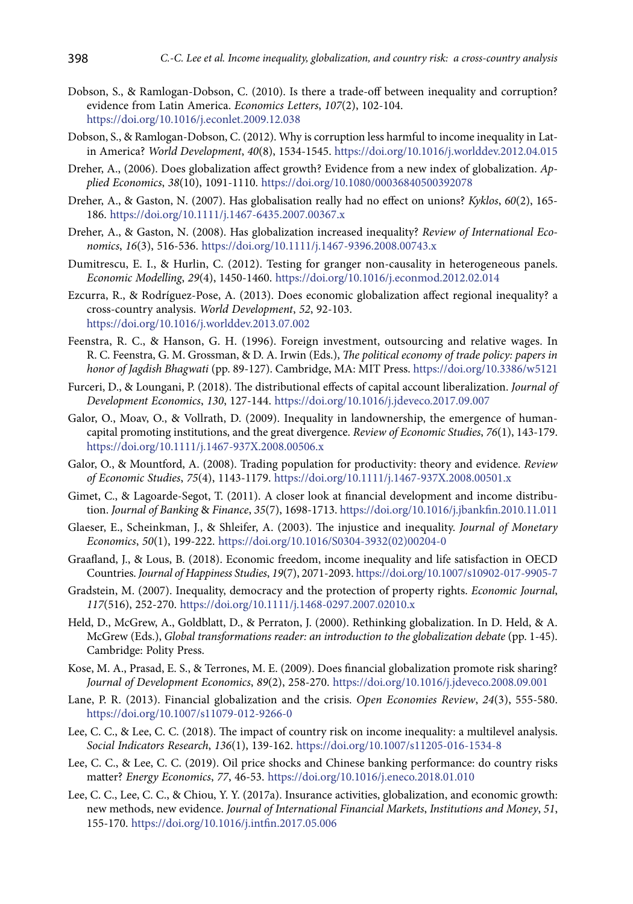- Dobson, S., & Ramlogan-Dobson, C. (2010). Is there a trade-off between inequality and corruption? evidence from Latin America. *Economics Letters*, *107*(2), 102-104. <https://doi.org/10.1016/j.econlet.2009.12.038>
- Dobson, S., & Ramlogan-Dobson, C. (2012). Why is corruption less harmful to income inequality in Latin America? *World Development*, *40*(8), 1534-1545. <https://doi.org/10.1016/j.worlddev.2012.04.015>
- Dreher, A., (2006). Does globalization affect growth? Evidence from a new index of globalization. *Applied Economics*, *38*(10), 1091-1110. <https://doi.org/10.1080/00036840500392078>
- Dreher, A., & Gaston, N. (2007). Has globalisation really had no effect on unions? *Kyklos*, *60*(2), 165- 186. <https://doi.org/10.1111/j.1467-6435.2007.00367.x>
- Dreher, A., & Gaston, N. (2008). Has globalization increased inequality? *Review of International Economics*, *16*(3), 516-536. <https://doi.org/10.1111/j.1467-9396.2008.00743.x>
- Dumitrescu, E. I., & Hurlin, C. (2012). Testing for granger non-causality in heterogeneous panels. *Economic Modelling*, *29*(4), 1450-1460. <https://doi.org/10.1016/j.econmod.2012.02.014>
- Ezcurra, R., & Rodríguez-Pose, A. (2013). Does economic globalization affect regional inequality? a cross-country analysis. *World Development*, *52*, 92-103. <https://doi.org/10.1016/j.worlddev.2013.07.002>
- Feenstra, R. C., & Hanson, G. H. (1996). Foreign investment, outsourcing and relative wages. In R. C. Feenstra, G. M. Grossman, & D. A. Irwin (Eds.), *The political economy of trade policy: papers in honor of Jagdish Bhagwati* (pp. 89-127). Cambridge, MA: MIT Press. <https://doi.org/10.3386/w5121>
- Furceri, D., & Loungani, P. (2018). The distributional effects of capital account liberalization. *Journal of Development Economics*, *130*, 127-144. <https://doi.org/10.1016/j.jdeveco.2017.09.007>
- Galor, O., Moav, O., & Vollrath, D. (2009). Inequality in landownership, the emergence of humancapital promoting institutions, and the great divergence. *Review of Economic Studies*, *76*(1), 143-179. <https://doi.org/10.1111/j.1467-937X.2008.00506.x>
- Galor, O., & Mountford, A. (2008). Trading population for productivity: theory and evidence. *Review of Economic Studies*, *75*(4), 1143-1179. <https://doi.org/10.1111/j.1467-937X.2008.00501.x>
- Gimet, C., & Lagoarde-Segot, T. (2011). A closer look at financial development and income distribution. *Journal of Banking* & *Finance*, *35*(7), 1698-1713. <https://doi.org/10.1016/j.jbankfin.2010.11.011>
- Glaeser, E., Scheinkman, J., & Shleifer, A. (2003). The injustice and inequality. *Journal of Monetary Economics*, *50*(1), 199-222. [https://doi.org/10.1016/S0304-3932\(02\)00204-0](https://doi.org/10.1016/S0304-3932(02)00204-0)
- Graafland, J., & Lous, B. (2018). Economic freedom, income inequality and life satisfaction in OECD Countries. *Journal of Happiness Studies*, *19*(7), 2071-2093.<https://doi.org/10.1007/s10902-017-9905-7>
- Gradstein, M. (2007). Inequality, democracy and the protection of property rights. *Economic Journal*, *117*(516), 252-270. <https://doi.org/10.1111/j.1468-0297.2007.02010.x>
- Held, D., McGrew, A., Goldblatt, D., & Perraton, J. (2000). Rethinking globalization. In D. Held, & A. McGrew (Eds.), *Global transformations reader: an introduction to the globalization debate* (pp. 1-45). Cambridge: Polity Press.
- Kose, M. A., Prasad, E. S., & Terrones, M. E. (2009). Does financial globalization promote risk sharing? *Journal of Development Economics*, *89*(2), 258-270.<https://doi.org/10.1016/j.jdeveco.2008.09.001>
- Lane, P. R. (2013). Financial globalization and the crisis. *Open Economies Review*, *24*(3), 555-580. <https://doi.org/10.1007/s11079-012-9266-0>
- Lee, C. C., & Lee, C. C. (2018). The impact of country risk on income inequality: a multilevel analysis. *Social Indicators Research*, *136*(1), 139-162. <https://doi.org/10.1007/s11205-016-1534-8>
- Lee, C. C., & Lee, C. C. (2019). Oil price shocks and Chinese banking performance: do country risks matter? *Energy Economics*, *77*, 46-53.<https://doi.org/10.1016/j.eneco.2018.01.010>
- Lee, C. C., Lee, C. C., & Chiou, Y. Y. (2017a). Insurance activities, globalization, and economic growth: new methods, new evidence. *Journal of International Financial Markets*, *Institutions and Money*, *51*, 155-170. <https://doi.org/10.1016/j.intfin.2017.05.006>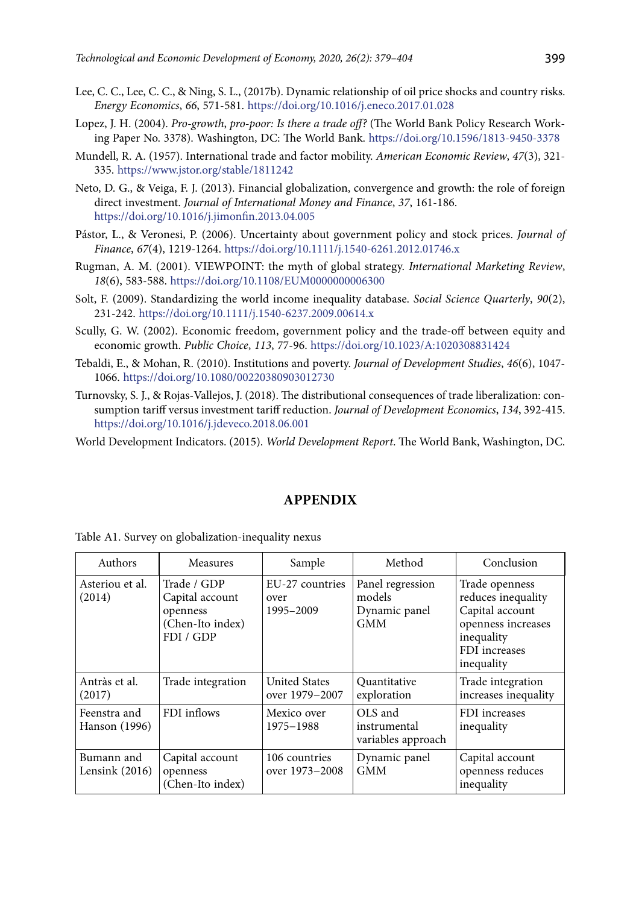- Lee, C. C., Lee, C. C., & Ning, S. L., (2017b). Dynamic relationship of oil price shocks and country risks. *Energy Economics*, *66*, 571-581. <https://doi.org/10.1016/j.eneco.2017.01.028>
- Lopez, J. H. (2004). *Pro-growth*, *pro-poor: Is there a trade off?* (The World Bank Policy Research Working Paper No. 3378). Washington, DC: The World Bank. <https://doi.org/10.1596/1813-9450-3378>
- Mundell, R. A. (1957). International trade and factor mobility. *American Economic Review*, *47*(3), 321- 335. <https://www.jstor.org/stable/1811242>
- Neto, D. G., & Veiga, F. J. (2013). Financial globalization, convergence and growth: the role of foreign direct investment. *Journal of International Money and Finance*, *37*, 161-186. <https://doi.org/10.1016/j.jimonfin.2013.04.005>
- Pástor, L., & Veronesi, P. (2006). Uncertainty about government policy and stock prices. *Journal of Finance*, *67*(4), 1219-1264. <https://doi.org/10.1111/j.1540-6261.2012.01746.x>
- Rugman, A. M. (2001). VIEWPOINT: the myth of global strategy. *International Marketing Review*, *18*(6), 583-588. <https://doi.org/10.1108/EUM0000000006300>
- Solt, F. (2009). Standardizing the world income inequality database. *Social Science Quarterly*, *90*(2), 231-242.<https://doi.org/10.1111/j.1540-6237.2009.00614.x>
- Scully, G. W. (2002). Economic freedom, government policy and the trade-off between equity and economic growth. *Public Choice*, *113*, 77-96. <https://doi.org/10.1023/A:1020308831424>
- Tebaldi, E., & Mohan, R. (2010). Institutions and poverty. *Journal of Development Studies*, *46*(6), 1047- 1066. <https://doi.org/10.1080/00220380903012730>
- Turnovsky, S. J., & Rojas-Vallejos, J. (2018). The distributional consequences of trade liberalization: consumption tariff versus investment tariff reduction. *Journal of Development Economics*, *134*, 392-415. <https://doi.org/10.1016/j.jdeveco.2018.06.001>

World Development Indicators. (2015). *World Development Report*. The World Bank, Washington, DC.

# **APPENDIX**

|  |  | Table A1. Survey on globalization-inequality nexus |  |  |
|--|--|----------------------------------------------------|--|--|
|--|--|----------------------------------------------------|--|--|

| Authors<br><b>Measures</b>     |                                                                             | Sample                                 | Method                                                    | Conclusion                                                                                                                 |  |
|--------------------------------|-----------------------------------------------------------------------------|----------------------------------------|-----------------------------------------------------------|----------------------------------------------------------------------------------------------------------------------------|--|
| Asteriou et al.<br>(2014)      | Trade / GDP<br>Capital account<br>openness<br>(Chen-Ito index)<br>FDI / GDP | EU-27 countries<br>over<br>1995-2009   | Panel regression<br>models<br>Dynamic panel<br><b>GMM</b> | Trade openness<br>reduces inequality<br>Capital account<br>openness increases<br>inequality<br>FDI increases<br>inequality |  |
| Antràs et al.<br>(2017)        | Trade integration                                                           | <b>United States</b><br>over 1979-2007 | Quantitative<br>exploration                               | Trade integration<br>increases inequality                                                                                  |  |
| Feenstra and<br>Hanson (1996)  | FDI inflows                                                                 | Mexico over<br>1975-1988               | OLS and<br>instrumental<br>variables approach             | FDI increases<br>inequality                                                                                                |  |
| Bumann and<br>Lensink $(2016)$ | Capital account<br>openness<br>(Chen-Ito index)                             | 106 countries<br>over 1973-2008        | Dynamic panel<br><b>GMM</b>                               | Capital account<br>openness reduces<br>inequality                                                                          |  |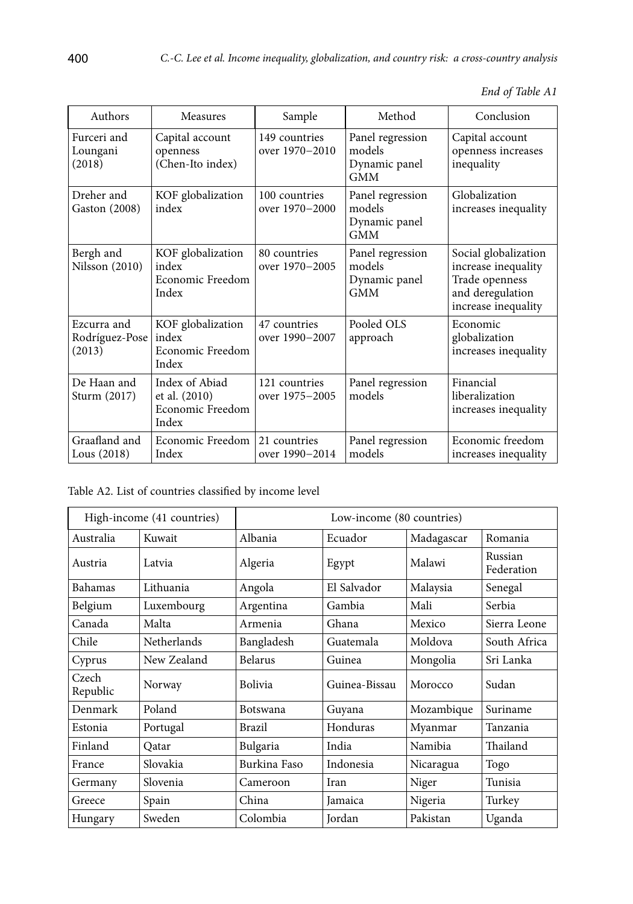|  | End of Table A1 |
|--|-----------------|
|--|-----------------|

| Authors                                 | Measures                                                     | Sample                          | Method                                                    | Conclusion                                                                                               |
|-----------------------------------------|--------------------------------------------------------------|---------------------------------|-----------------------------------------------------------|----------------------------------------------------------------------------------------------------------|
| Furceri and<br>Loungani<br>(2018)       | Capital account<br>openness<br>(Chen-Ito index)              | 149 countries<br>over 1970-2010 | Panel regression<br>models<br>Dynamic panel<br><b>GMM</b> | Capital account<br>openness increases<br>inequality                                                      |
| Dreher and<br>Gaston (2008)             | KOF globalization<br>index                                   | 100 countries<br>over 1970–2000 | Panel regression<br>models<br>Dynamic panel<br><b>GMM</b> | Globalization<br>increases inequality                                                                    |
| Bergh and<br>Nilsson (2010)             | KOF globalization<br>index<br>Economic Freedom<br>Index      | 80 countries<br>over 1970-2005  | Panel regression<br>models<br>Dynamic panel<br><b>GMM</b> | Social globalization<br>increase inequality<br>Trade openness<br>and deregulation<br>increase inequality |
| Ezcurra and<br>Rodríguez-Pose<br>(2013) | KOF globalization<br>index<br>Economic Freedom<br>Index      | 47 countries<br>over 1990–2007  | Pooled OLS<br>approach                                    | Economic<br>globalization<br>increases inequality                                                        |
| De Haan and<br>Sturm (2017)             | Index of Abiad<br>et al. (2010)<br>Economic Freedom<br>Index | 121 countries<br>over 1975-2005 | Panel regression<br>models                                | Financial<br>liberalization<br>increases inequality                                                      |
| Graafland and<br>Lous $(2018)$          | Economic Freedom<br>Index                                    | 21 countries<br>over 1990–2014  | Panel regression<br>models                                | Economic freedom<br>increases inequality                                                                 |

Table A2. List of countries classified by income level

|                   | High-income (41 countries) |                 | Low-income (80 countries)  |            |                       |
|-------------------|----------------------------|-----------------|----------------------------|------------|-----------------------|
| Australia         | Kuwait                     | Albania         | Ecuador                    | Madagascar | Romania               |
| Austria           | Latvia                     |                 | Malawi<br>Algeria<br>Egypt |            | Russian<br>Federation |
| Bahamas           | Lithuania                  | Angola          | El Salvador                | Malaysia   | Senegal               |
| Belgium           | Luxembourg                 | Argentina       | Gambia                     | Mali       | Serbia                |
| Canada            | Malta                      | Armenia         | Ghana                      | Mexico     | Sierra Leone          |
| Chile             | <b>Netherlands</b>         | Bangladesh      | Guatemala                  | Moldova    | South Africa          |
| Cyprus            | New Zealand                | <b>Belarus</b>  | Guinea                     | Mongolia   | Sri Lanka             |
| Czech<br>Republic | Norway                     | <b>Bolivia</b>  | Guinea-Bissau              | Morocco    | Sudan                 |
| Denmark           | Poland                     | <b>Botswana</b> | Guyana                     | Mozambique | Suriname              |
| Estonia           | Portugal                   | <b>Brazil</b>   | Honduras                   | Myanmar    | Tanzania              |
| Finland           | Oatar                      | Bulgaria        | India                      | Namibia    | Thailand              |
| France            | Slovakia                   | Burkina Faso    | Indonesia                  | Nicaragua  | Togo                  |
| Germany           | Slovenia                   | Cameroon        | Iran                       | Niger      | Tunisia               |
| Greece            | Spain                      | China           | Jamaica                    | Nigeria    | Turkey                |
| Hungary           | Sweden                     | Colombia        | Jordan                     | Pakistan   | Uganda                |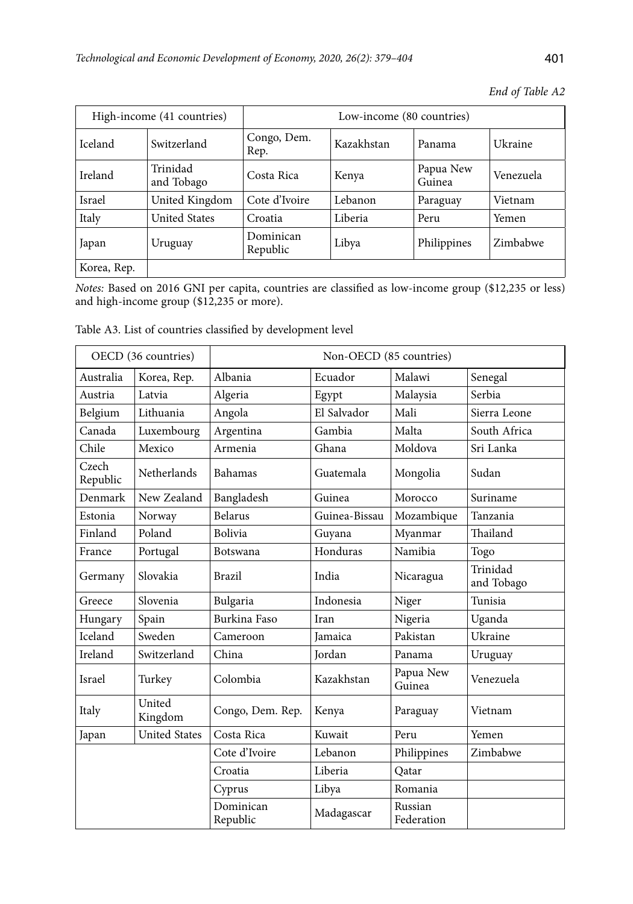|             | High-income (41 countries) | Low-income (80 countries) |            |                     |           |  |  |
|-------------|----------------------------|---------------------------|------------|---------------------|-----------|--|--|
| Iceland     | Switzerland                | Congo, Dem.<br>Rep.       | Kazakhstan | Panama              | Ukraine   |  |  |
| Ireland     | Trinidad<br>and Tobago     | Costa Rica                | Kenya      | Papua New<br>Guinea | Venezuela |  |  |
| Israel      | United Kingdom             | Cote d'Ivoire             | Lebanon    | Paraguay            | Vietnam   |  |  |
| Italy       | <b>United States</b>       | Croatia                   | Liberia    | Peru                | Yemen     |  |  |
| Japan       | Uruguay                    | Dominican<br>Republic     | Libya      | Philippines         | Zimbabwe  |  |  |
| Korea, Rep. |                            |                           |            |                     |           |  |  |

*End of Table A2*

*Notes:* Based on 2016 GNI per capita, countries are classified as low-income group (\$12,235 or less) and high-income group (\$12,235 or more).

Table A3. List of countries classified by development level

|                   | OECD (36 countries)  |                       | Non-OECD (85 countries) |                       |                        |  |  |  |
|-------------------|----------------------|-----------------------|-------------------------|-----------------------|------------------------|--|--|--|
| Australia         | Korea, Rep.          | Albania               | Ecuador                 | Malawi                | Senegal                |  |  |  |
| Austria           | Latvia               | Algeria               | Egypt                   | Malaysia              | Serbia                 |  |  |  |
| Belgium           | Lithuania            | Angola                | El Salvador             | Mali                  | Sierra Leone           |  |  |  |
| Canada            | Luxembourg           | Argentina             | Gambia                  | Malta                 | South Africa           |  |  |  |
| Chile             | Mexico               | Armenia               | Ghana                   | Moldova               | Sri Lanka              |  |  |  |
| Czech<br>Republic | Netherlands          | Bahamas               | Guatemala               | Mongolia              | Sudan                  |  |  |  |
| Denmark           | New Zealand          | Bangladesh            | Guinea                  | Morocco               | Suriname               |  |  |  |
| Estonia           | Norway               | <b>Belarus</b>        | Guinea-Bissau           | Mozambique            | Tanzania               |  |  |  |
| Finland           | Poland               | Bolivia               | Guyana                  | Myanmar               | Thailand               |  |  |  |
| France            | Portugal             | Botswana              | Honduras                | Namibia               | Togo                   |  |  |  |
| Germany           | Slovakia             | <b>Brazil</b>         | India                   | Nicaragua             | Trinidad<br>and Tobago |  |  |  |
| Greece            | Slovenia             | Bulgaria              | Indonesia               | Niger                 | Tunisia                |  |  |  |
| Hungary           | Spain                | Burkina Faso          | Iran                    | Nigeria               | Uganda                 |  |  |  |
| Iceland           | Sweden               | Cameroon              | <b>Jamaica</b>          | Pakistan              | Ukraine                |  |  |  |
| Ireland           | Switzerland          | China                 | <b>Jordan</b>           | Panama                | Uruguay                |  |  |  |
| Israel            | Turkey               | Colombia              | Kazakhstan              | Papua New<br>Guinea   | Venezuela              |  |  |  |
| Italy             | United<br>Kingdom    | Congo, Dem. Rep.      | Kenya                   | Paraguay              | Vietnam                |  |  |  |
| Japan             | <b>United States</b> | Costa Rica            | Kuwait                  | Peru                  | Yemen                  |  |  |  |
|                   |                      | Cote d'Ivoire         | Lebanon                 | Philippines           | Zimbabwe               |  |  |  |
|                   |                      | Croatia               | Liberia                 | Oatar                 |                        |  |  |  |
|                   |                      | Cyprus                | Libya                   | Romania               |                        |  |  |  |
|                   |                      | Dominican<br>Republic | Madagascar              | Russian<br>Federation |                        |  |  |  |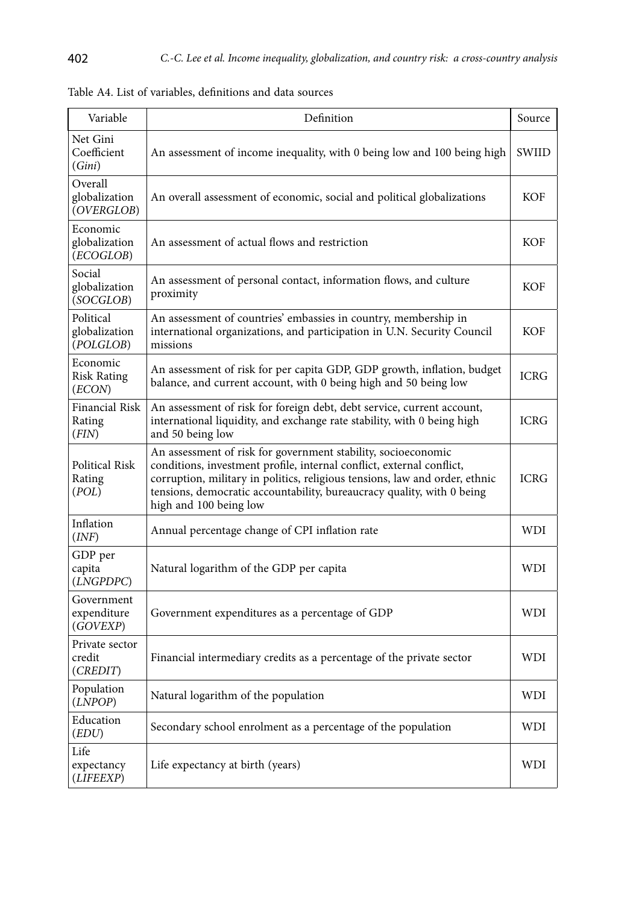| Variable                                 | Definition                                                                                                                                                                                                                                                                                                                | Source      |
|------------------------------------------|---------------------------------------------------------------------------------------------------------------------------------------------------------------------------------------------------------------------------------------------------------------------------------------------------------------------------|-------------|
| Net Gini<br>Coefficient<br>(Gini)        | An assessment of income inequality, with 0 being low and 100 being high                                                                                                                                                                                                                                                   | SWIID       |
| Overall<br>globalization<br>(OVERGLOB)   | An overall assessment of economic, social and political globalizations                                                                                                                                                                                                                                                    | <b>KOF</b>  |
| Economic<br>globalization<br>(ECOGLOB)   | An assessment of actual flows and restriction                                                                                                                                                                                                                                                                             | KOF         |
| Social<br>globalization<br>(SOCGLOB)     | An assessment of personal contact, information flows, and culture<br>proximity                                                                                                                                                                                                                                            | <b>KOF</b>  |
| Political<br>globalization<br>(POLGLOB)  | An assessment of countries' embassies in country, membership in<br>international organizations, and participation in U.N. Security Council<br>missions                                                                                                                                                                    | <b>KOF</b>  |
| Economic<br><b>Risk Rating</b><br>(ECON) | An assessment of risk for per capita GDP, GDP growth, inflation, budget<br>balance, and current account, with 0 being high and 50 being low                                                                                                                                                                               | <b>ICRG</b> |
| Financial Risk<br>Rating<br>(FIN)        | An assessment of risk for foreign debt, debt service, current account,<br>international liquidity, and exchange rate stability, with 0 being high<br>and 50 being low                                                                                                                                                     | <b>ICRG</b> |
| Political Risk<br>Rating<br>(POL)        | An assessment of risk for government stability, socioeconomic<br>conditions, investment profile, internal conflict, external conflict,<br>corruption, military in politics, religious tensions, law and order, ethnic<br>tensions, democratic accountability, bureaucracy quality, with 0 being<br>high and 100 being low | <b>ICRG</b> |
| Inflation<br>(INF)                       | Annual percentage change of CPI inflation rate                                                                                                                                                                                                                                                                            | <b>WDI</b>  |
| GDP per<br>capita<br>(LNGPDPC)           | Natural logarithm of the GDP per capita                                                                                                                                                                                                                                                                                   | WDI         |
| Government<br>expenditure<br>(GOVEXP)    | Government expenditures as a percentage of GDP                                                                                                                                                                                                                                                                            | WDI         |
| Private sector<br>credit<br>(CREDIT)     | Financial intermediary credits as a percentage of the private sector                                                                                                                                                                                                                                                      | <b>WDI</b>  |
| Population<br>(LNPOP)                    | Natural logarithm of the population                                                                                                                                                                                                                                                                                       | WDI         |
| Education<br>(EDU)                       | Secondary school enrolment as a percentage of the population                                                                                                                                                                                                                                                              | WDI         |
| Life<br>expectancy<br>(LIFEEXP)          | Life expectancy at birth (years)                                                                                                                                                                                                                                                                                          | WDI         |

|  |  |  |  |  |  |  | Table A4. List of variables, definitions and data sources |  |  |  |
|--|--|--|--|--|--|--|-----------------------------------------------------------|--|--|--|
|--|--|--|--|--|--|--|-----------------------------------------------------------|--|--|--|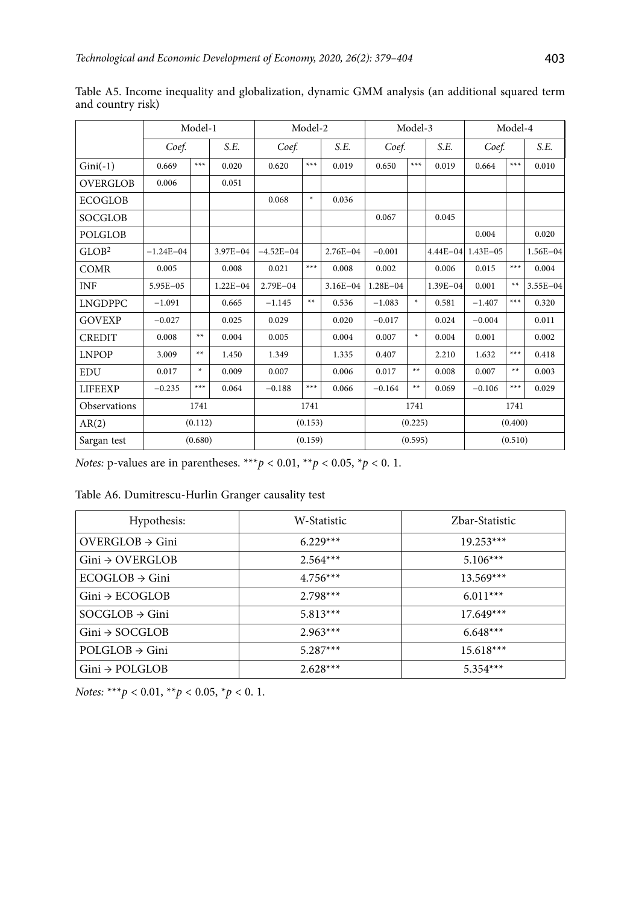|                   | Model-1       |        |              | Model-2       |        |              | Model-3      |        |              | Model-4      |       |              |
|-------------------|---------------|--------|--------------|---------------|--------|--------------|--------------|--------|--------------|--------------|-------|--------------|
|                   | Coef.         |        | S.E.         | Coef.         |        |              | Coef.        |        | S.E.         | Coef.        | S.E.  |              |
| $Gini(-1)$        | 0.669         | $***$  | 0.020        | 0.620         | $***$  | 0.019        | 0.650        | $***$  | 0.019        | 0.664        | ***   | 0.010        |
| <b>OVERGLOB</b>   | 0.006         |        | 0.051        |               |        |              |              |        |              |              |       |              |
| <b>ECOGLOB</b>    |               |        |              | 0.068         | $\ast$ | 0.036        |              |        |              |              |       |              |
| <b>SOCGLOB</b>    |               |        |              |               |        |              | 0.067        |        | 0.045        |              |       |              |
| <b>POLGLOB</b>    |               |        |              |               |        |              |              |        |              | 0.004        |       | 0.020        |
| GLOB <sup>2</sup> | $-1.24E - 04$ |        | 3.97E-04     | $-4.52E - 04$ |        | $2.76E - 04$ | $-0.001$     |        | $4.44E - 04$ | $1.43E - 05$ |       | $1.56E - 04$ |
| COMR              | 0.005         |        | 0.008        | 0.021         | $***$  | 0.008        | 0.002        |        | 0.006        | 0.015        | ***   | 0.004        |
| INF               | 5.95E-05      |        | $1.22E - 04$ | 2.79E-04      |        | $3.16E - 04$ | $1.28E - 04$ |        | $1.39E - 04$ | 0.001        | $***$ | $3.55E - 04$ |
| <b>LNGDPPC</b>    | $-1.091$      |        | 0.665        | $-1.145$      | $**$   | 0.536        | $-1.083$     | ×.     | 0.581        | $-1.407$     | ***   | 0.320        |
| <b>GOVEXP</b>     | $-0.027$      |        | 0.025        | 0.029         |        | 0.020        | $-0.017$     |        | 0.024        | $-0.004$     |       | 0.011        |
| <b>CREDIT</b>     | 0.008         | $**$   | 0.004        | 0.005         |        | 0.004        | 0.007        | $\ast$ | 0.004        | 0.001        |       | 0.002        |
| <b>LNPOP</b>      | 3.009         | $**$   | 1.450        | 1.349         |        | 1.335        | 0.407        |        | 2.210        | 1.632        | $***$ | 0.418        |
| EDU               | 0.017         | $\ast$ | 0.009        | 0.007         |        | 0.006        | 0.017        | **     | 0.008        | 0.007        | **    | 0.003        |
| <b>LIFEEXP</b>    | $-0.235$      | $***$  | 0.064        | $-0.188$      | $***$  | 0.066        | $-0.164$     | $**$   | 0.069        | $-0.106$     | $***$ | 0.029        |
| Observations      | 1741          |        | 1741         |               |        | 1741         |              |        | 1741         |              |       |              |
| AR(2)             | (0.112)       |        | (0.153)      |               |        | (0.225)      |              |        | (0.400)      |              |       |              |
| Sargan test       | (0.680)       |        | (0.159)      |               |        | (0.595)      |              |        | (0.510)      |              |       |              |

Table A5. Income inequality and globalization, dynamic GMM analysis (an additional squared term and country risk)

Table A6. Dumitrescu-Hurlin Granger causality test

| Hypothesis:                 | W-Statistic | Zbar-Statistic |
|-----------------------------|-------------|----------------|
| $OVERGLOB \rightarrow Gini$ | $6.229***$  | $19.253***$    |
| $Gini \rightarrow OVERGLOB$ | $2.564***$  | $5.106***$     |
| $ECOGLOB \rightarrow Gini$  | $4.756***$  | $13.569***$    |
| $Gini \rightarrow ECOGLOB$  | $2.798***$  | $6.011***$     |
| $SOCGLOB \rightarrow Gini$  | $5.813***$  | $17.649***$    |
| $Gini \rightarrow SOCGLOB$  | $2.963***$  | $6.648***$     |
| $POLGLOB \rightarrow Gini$  | $5.287***$  | $15.618***$    |
| $Gini \rightarrow POLGLOB$  | $2.628***$  | $5.354***$     |

*Notes:* \*\*\**p* < 0.01, \*\**p* < 0.05, \**p* < 0. 1.